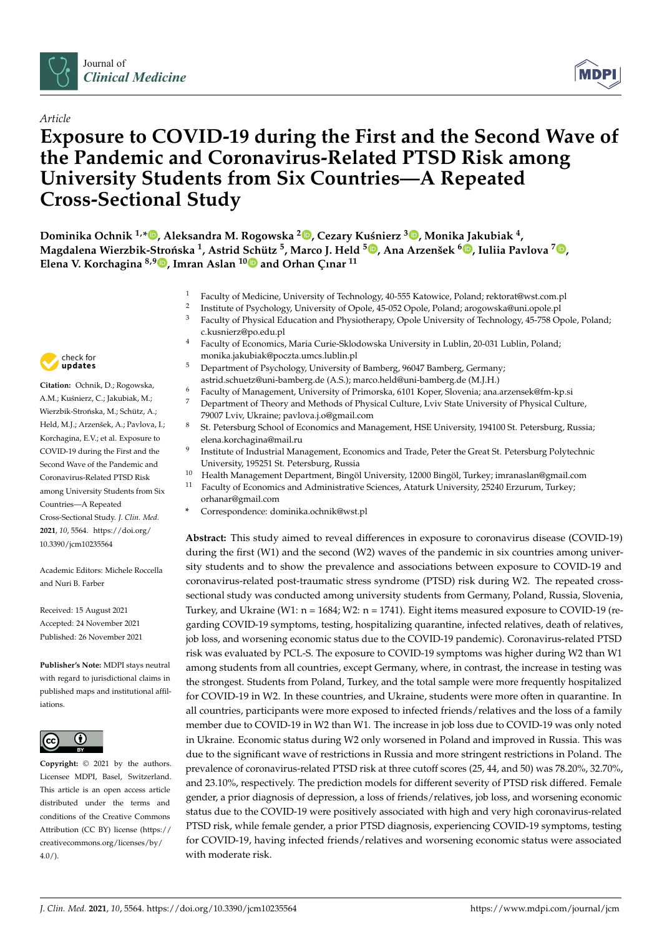

# *Article*

# **Exposure to COVID-19 during the First and the Second Wave of the Pandemic and Coronavirus-Related PTSD Risk among University Students from Six Countries—A Repeated Cross-Sectional Study**

**Dominika Ochnik 1,\* [,](https://orcid.org/0000-0002-9019-7091) Aleksandra M. Rogowska <sup>2</sup> [,](https://orcid.org/0000-0002-4621-8916) Cezary Ku´snierz <sup>3</sup> [,](https://orcid.org/0000-0001-5912-5316) Monika Jakubiak <sup>4</sup> ,**  $\blacksquare$ Magdalena Wierzbik-Strońska  $^1$ , Astrid [Sch](https://orcid.org/0000-0001-5307-4474)ütz  $^5$ [,](https://orcid.org/0000-0002-8111-4469) Marco J. Held  $^5\blacksquare$ , Ana Arzenšek  $^6\blacksquare$ , Iuliia Pavlova  $^7\blacksquare$ , **Elena V. Korchagina 8,[9](https://orcid.org/0000-0003-3070-2508) , Imran Aslan <sup>10</sup> and Orhan Çınar <sup>11</sup>**

- <sup>1</sup> Faculty of Medicine, University of Technology, 40-555 Katowice, Poland; rektorat@wst.com.pl
- 2 Institute of Psychology, University of Opole, 45-052 Opole, Poland; arogowska@uni.opole.pl
- <sup>3</sup> Faculty of Physical Education and Physiotherapy, Opole University of Technology, 45-758 Opole, Poland; c.kusnierz@po.edu.pl
- <sup>4</sup> Faculty of Economics, Maria Curie-Sklodowska University in Lublin, 20-031 Lublin, Poland; monika.jakubiak@poczta.umcs.lublin.pl
- <sup>5</sup> Department of Psychology, University of Bamberg, 96047 Bamberg, Germany; astrid.schuetz@uni-bamberg.de (A.S.); marco.held@uni-bamberg.de (M.J.H.)
- <sup>6</sup> Faculty of Management, University of Primorska, 6101 Koper, Slovenia; ana.arzensek@fm-kp.si
- <sup>7</sup> Department of Theory and Methods of Physical Culture, Lviv State University of Physical Culture, 79007 Lviv, Ukraine; pavlova.j.o@gmail.com
- 8 St. Petersburg School of Economics and Management, HSE University, 194100 St. Petersburg, Russia; elena.korchagina@mail.ru
- 9 Institute of Industrial Management, Economics and Trade, Peter the Great St. Petersburg Polytechnic University, 195251 St. Petersburg, Russia
- <sup>10</sup> Health Management Department, Bingöl University, 12000 Bingöl, Turkey; imranaslan@gmail.com <sup>11</sup> Faculty of Economics and Administrative Sciences, Ataturk University, 25240 Erzurum, Turkey; orhanar@gmail.com
- **\*** Correspondence: dominika.ochnik@wst.pl

**Abstract:** This study aimed to reveal differences in exposure to coronavirus disease (COVID-19) during the first (W1) and the second (W2) waves of the pandemic in six countries among university students and to show the prevalence and associations between exposure to COVID-19 and coronavirus-related post-traumatic stress syndrome (PTSD) risk during W2. The repeated crosssectional study was conducted among university students from Germany, Poland, Russia, Slovenia, Turkey, and Ukraine (W1:  $n = 1684$ ; W2:  $n = 1741$ ). Eight items measured exposure to COVID-19 (regarding COVID-19 symptoms, testing, hospitalizing quarantine, infected relatives, death of relatives, job loss, and worsening economic status due to the COVID-19 pandemic). Coronavirus-related PTSD risk was evaluated by PCL-S. The exposure to COVID-19 symptoms was higher during W2 than W1 among students from all countries, except Germany, where, in contrast, the increase in testing was the strongest. Students from Poland, Turkey, and the total sample were more frequently hospitalized for COVID-19 in W2. In these countries, and Ukraine, students were more often in quarantine. In all countries, participants were more exposed to infected friends/relatives and the loss of a family member due to COVID-19 in W2 than W1. The increase in job loss due to COVID-19 was only noted in Ukraine. Economic status during W2 only worsened in Poland and improved in Russia. This was due to the significant wave of restrictions in Russia and more stringent restrictions in Poland. The prevalence of coronavirus-related PTSD risk at three cutoff scores (25, 44, and 50) was 78.20%, 32.70%, and 23.10%, respectively. The prediction models for different severity of PTSD risk differed. Female gender, a prior diagnosis of depression, a loss of friends/relatives, job loss, and worsening economic status due to the COVID-19 were positively associated with high and very high coronavirus-related PTSD risk, while female gender, a prior PTSD diagnosis, experiencing COVID-19 symptoms, testing for COVID-19, having infected friends/relatives and worsening economic status were associated with moderate risk.



**Citation:** Ochnik, D.; Rogowska, A.M.: Kuśnierz, C.: Jakubiak, M.: Wierzbik-Strońska, M.; Schütz, A.; Held, M.J.; Arzenšek, A.; Pavlova, I.; Korchagina, E.V.; et al. Exposure to COVID-19 during the First and the Second Wave of the Pandemic and Coronavirus-Related PTSD Risk among University Students from Six Countries—A Repeated Cross-Sectional Study. *J. Clin. Med.* **2021**, *10*, 5564. [https://doi.org/](https://doi.org/10.3390/jcm10235564) [10.3390/jcm10235564](https://doi.org/10.3390/jcm10235564)

Academic Editors: Michele Roccella and Nuri B. Farber

Received: 15 August 2021 Accepted: 24 November 2021 Published: 26 November 2021

**Publisher's Note:** MDPI stays neutral with regard to jurisdictional claims in published maps and institutional affiliations.



**Copyright:** © 2021 by the authors. Licensee MDPI, Basel, Switzerland. This article is an open access article distributed under the terms and conditions of the Creative Commons Attribution (CC BY) license (https:/[/](https://creativecommons.org/licenses/by/4.0/) [creativecommons.org/licenses/by/](https://creativecommons.org/licenses/by/4.0/)  $4.0/$ ).

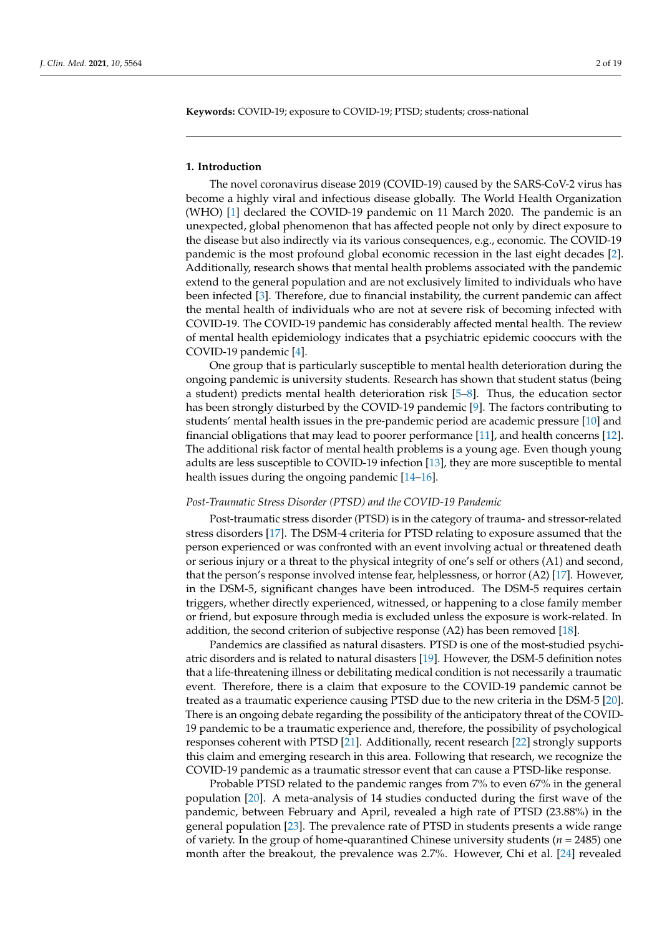**Keywords:** COVID-19; exposure to COVID-19; PTSD; students; cross-national

#### **1. Introduction**

The novel coronavirus disease 2019 (COVID-19) caused by the SARS-CoV-2 virus has become a highly viral and infectious disease globally. The World Health Organization (WHO) [\[1\]](#page-16-0) declared the COVID-19 pandemic on 11 March 2020. The pandemic is an unexpected, global phenomenon that has affected people not only by direct exposure to the disease but also indirectly via its various consequences, e.g., economic. The COVID-19 pandemic is the most profound global economic recession in the last eight decades [\[2\]](#page-16-1). Additionally, research shows that mental health problems associated with the pandemic extend to the general population and are not exclusively limited to individuals who have been infected [\[3\]](#page-16-2). Therefore, due to financial instability, the current pandemic can affect the mental health of individuals who are not at severe risk of becoming infected with COVID-19. The COVID-19 pandemic has considerably affected mental health. The review of mental health epidemiology indicates that a psychiatric epidemic cooccurs with the COVID-19 pandemic [\[4\]](#page-16-3).

One group that is particularly susceptible to mental health deterioration during the ongoing pandemic is university students. Research has shown that student status (being a student) predicts mental health deterioration risk [\[5–](#page-16-4)[8\]](#page-16-5). Thus, the education sector has been strongly disturbed by the COVID-19 pandemic [\[9\]](#page-16-6). The factors contributing to students' mental health issues in the pre-pandemic period are academic pressure [\[10\]](#page-16-7) and financial obligations that may lead to poorer performance [\[11\]](#page-16-8), and health concerns [\[12\]](#page-16-9). The additional risk factor of mental health problems is a young age. Even though young adults are less susceptible to COVID-19 infection [\[13\]](#page-16-10), they are more susceptible to mental health issues during the ongoing pandemic [\[14–](#page-16-11)[16\]](#page-16-12).

## *Post-Traumatic Stress Disorder (PTSD) and the COVID-19 Pandemic*

Post-traumatic stress disorder (PTSD) is in the category of trauma- and stressor-related stress disorders [\[17\]](#page-16-13). The DSM-4 criteria for PTSD relating to exposure assumed that the person experienced or was confronted with an event involving actual or threatened death or serious injury or a threat to the physical integrity of one's self or others (A1) and second, that the person's response involved intense fear, helplessness, or horror (A2) [\[17\]](#page-16-13). However, in the DSM-5, significant changes have been introduced. The DSM-5 requires certain triggers, whether directly experienced, witnessed, or happening to a close family member or friend, but exposure through media is excluded unless the exposure is work-related. In addition, the second criterion of subjective response (A2) has been removed [\[18\]](#page-16-14).

Pandemics are classified as natural disasters. PTSD is one of the most-studied psychiatric disorders and is related to natural disasters [\[19\]](#page-16-15). However, the DSM-5 definition notes that a life-threatening illness or debilitating medical condition is not necessarily a traumatic event. Therefore, there is a claim that exposure to the COVID-19 pandemic cannot be treated as a traumatic experience causing PTSD due to the new criteria in the DSM-5 [\[20\]](#page-16-16). There is an ongoing debate regarding the possibility of the anticipatory threat of the COVID-19 pandemic to be a traumatic experience and, therefore, the possibility of psychological responses coherent with PTSD [\[21\]](#page-17-0). Additionally, recent research [\[22\]](#page-17-1) strongly supports this claim and emerging research in this area. Following that research, we recognize the COVID-19 pandemic as a traumatic stressor event that can cause a PTSD-like response.

Probable PTSD related to the pandemic ranges from 7% to even 67% in the general population [\[20\]](#page-16-16). A meta-analysis of 14 studies conducted during the first wave of the pandemic, between February and April, revealed a high rate of PTSD (23.88%) in the general population [\[23\]](#page-17-2). The prevalence rate of PTSD in students presents a wide range of variety. In the group of home-quarantined Chinese university students (*n* = 2485) one month after the breakout, the prevalence was 2.7%. However, Chi et al. [\[24\]](#page-17-3) revealed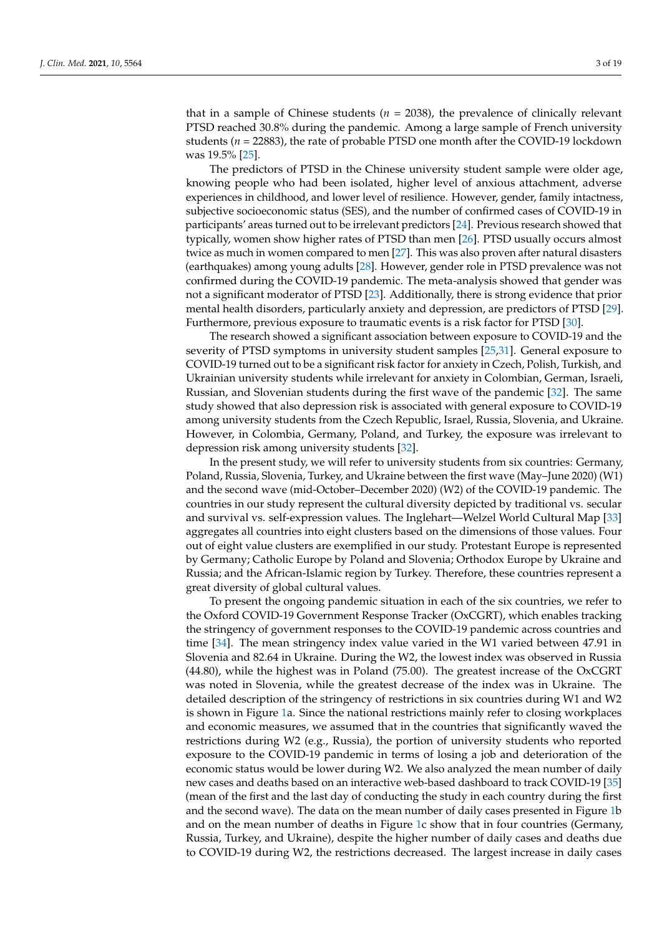that in a sample of Chinese students ( $n = 2038$ ), the prevalence of clinically relevant PTSD reached 30.8% during the pandemic. Among a large sample of French university students (*n* = 22883), the rate of probable PTSD one month after the COVID-19 lockdown was 19.5% [\[25\]](#page-17-4).

The predictors of PTSD in the Chinese university student sample were older age, knowing people who had been isolated, higher level of anxious attachment, adverse experiences in childhood, and lower level of resilience. However, gender, family intactness, subjective socioeconomic status (SES), and the number of confirmed cases of COVID-19 in participants' areas turned out to be irrelevant predictors [\[24\]](#page-17-3). Previous research showed that typically, women show higher rates of PTSD than men [\[26\]](#page-17-5). PTSD usually occurs almost twice as much in women compared to men [\[27\]](#page-17-6). This was also proven after natural disasters (earthquakes) among young adults [\[28\]](#page-17-7). However, gender role in PTSD prevalence was not confirmed during the COVID-19 pandemic. The meta-analysis showed that gender was not a significant moderator of PTSD [\[23\]](#page-17-2). Additionally, there is strong evidence that prior mental health disorders, particularly anxiety and depression, are predictors of PTSD [\[29\]](#page-17-8). Furthermore, previous exposure to traumatic events is a risk factor for PTSD [\[30\]](#page-17-9).

The research showed a significant association between exposure to COVID-19 and the severity of PTSD symptoms in university student samples [\[25](#page-17-4)[,31\]](#page-17-10). General exposure to COVID-19 turned out to be a significant risk factor for anxiety in Czech, Polish, Turkish, and Ukrainian university students while irrelevant for anxiety in Colombian, German, Israeli, Russian, and Slovenian students during the first wave of the pandemic [\[32\]](#page-17-11). The same study showed that also depression risk is associated with general exposure to COVID-19 among university students from the Czech Republic, Israel, Russia, Slovenia, and Ukraine. However, in Colombia, Germany, Poland, and Turkey, the exposure was irrelevant to depression risk among university students [\[32\]](#page-17-11).

In the present study, we will refer to university students from six countries: Germany, Poland, Russia, Slovenia, Turkey, and Ukraine between the first wave (May–June 2020) (W1) and the second wave (mid-October–December 2020) (W2) of the COVID-19 pandemic. The countries in our study represent the cultural diversity depicted by traditional vs. secular and survival vs. self-expression values. The Inglehart—Welzel World Cultural Map [\[33\]](#page-17-12) aggregates all countries into eight clusters based on the dimensions of those values. Four out of eight value clusters are exemplified in our study. Protestant Europe is represented by Germany; Catholic Europe by Poland and Slovenia; Orthodox Europe by Ukraine and Russia; and the African-Islamic region by Turkey. Therefore, these countries represent a great diversity of global cultural values.

To present the ongoing pandemic situation in each of the six countries, we refer to the Oxford COVID-19 Government Response Tracker (OxCGRT), which enables tracking the stringency of government responses to the COVID-19 pandemic across countries and time [\[34\]](#page-17-13). The mean stringency index value varied in the W1 varied between 47.91 in Slovenia and 82.64 in Ukraine. During the W2, the lowest index was observed in Russia (44.80), while the highest was in Poland (75.00). The greatest increase of the OxCGRT was noted in Slovenia, while the greatest decrease of the index was in Ukraine. The detailed description of the stringency of restrictions in six countries during W1 and W2 is shown in Figure [1a](#page-3-0). Since the national restrictions mainly refer to closing workplaces and economic measures, we assumed that in the countries that significantly waved the restrictions during W2 (e.g., Russia), the portion of university students who reported exposure to the COVID-19 pandemic in terms of losing a job and deterioration of the economic status would be lower during W2. We also analyzed the mean number of daily new cases and deaths based on an interactive web-based dashboard to track COVID-19 [\[35\]](#page-17-14) (mean of the first and the last day of conducting the study in each country during the first and the second wave). The data on the mean number of daily cases presented in Figure [1b](#page-3-0) and on the mean number of deaths in Figure [1c](#page-3-0) show that in four countries (Germany, Russia, Turkey, and Ukraine), despite the higher number of daily cases and deaths due to COVID-19 during W2, the restrictions decreased. The largest increase in daily cases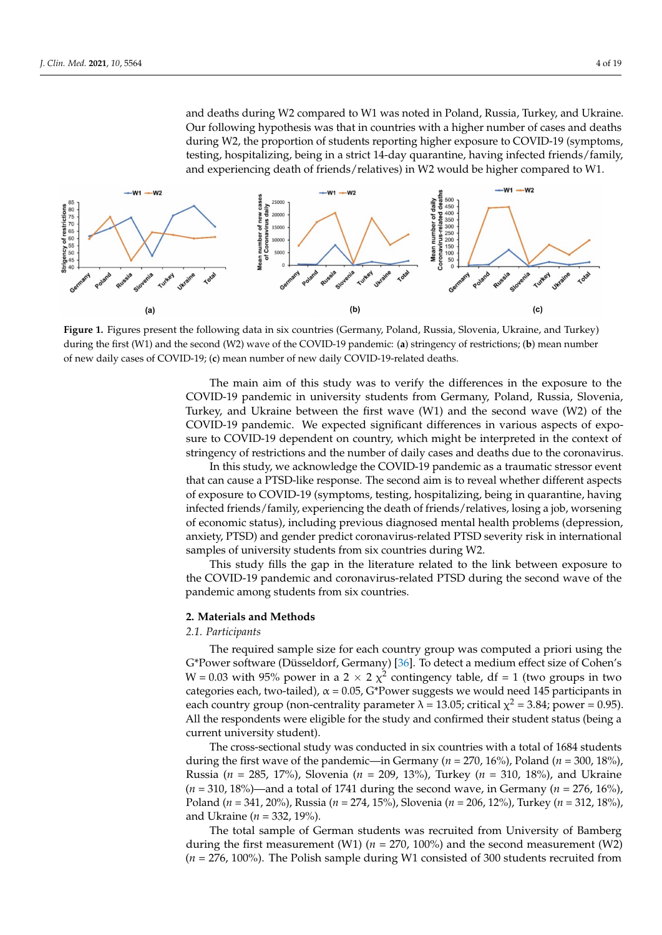and deaths during W2 compared to W1 was noted in Poland, Russia, Turkey, and Ukraine. Our following hypothesis was that in countries with a higher number of cases and deaths during W2, the proportion of students reporting higher exposure to COVID-19 (symptoms, testing, hospitalizing, being in a strict 14-day quarantine, having infected friends/family, and experiencing death of friends/relatives) in W2 would be higher compared to W1.

<span id="page-3-0"></span>

**Figure 1.** Figures present the following data in six countries (Germany, Poland, Russia, Slovenia, Ukraine, and Turkey) during the first (W1) and the second (W2) wave of the COVID-19 pandemic: (**a**) stringency of restrictions; (**b**) mean number of new daily cases of COVID-19; (**c**) mean number of new daily COVID-19-related deaths.

The main aim of this study was to verify the differences in the exposure to the COVID-19 pandemic in university students from Germany, Poland, Russia, Slovenia, Turkey, and Ukraine between the first wave (W1) and the second wave (W2) of the COVID-19 pandemic. We expected significant differences in various aspects of exposure to COVID-19 dependent on country, which might be interpreted in the context of stringency of restrictions and the number of daily cases and deaths due to the coronavirus.

In this study, we acknowledge the COVID-19 pandemic as a traumatic stressor event that can cause a PTSD-like response. The second aim is to reveal whether different aspects of exposure to COVID-19 (symptoms, testing, hospitalizing, being in quarantine, having infected friends/family, experiencing the death of friends/relatives, losing a job, worsening of economic status), including previous diagnosed mental health problems (depression, anxiety, PTSD) and gender predict coronavirus-related PTSD severity risk in international samples of university students from six countries during W2.

This study fills the gap in the literature related to the link between exposure to the COVID-19 pandemic and coronavirus-related PTSD during the second wave of the pandemic among students from six countries.

## **2. Materials and Methods**

# *2.1. Participants*

The required sample size for each country group was computed a priori using the G\*Power software (Düsseldorf, Germany) [\[36\]](#page-17-15). To detect a medium effect size of Cohen's W = 0.03 with 95% power in a 2  $\times$  2  $\chi^2$  contingency table, df = 1 (two groups in two categories each, two-tailed),  $\alpha$  = 0.05, G\*Power suggests we would need 145 participants in each country group (non-centrality parameter  $\lambda = 13.05$ ; critical  $\chi^2 = 3.84$ ; power = 0.95). All the respondents were eligible for the study and confirmed their student status (being a current university student).

The cross-sectional study was conducted in six countries with a total of 1684 students during the first wave of the pandemic—in Germany ( $n = 270$ , 16%), Poland ( $n = 300$ , 18%), Russia (*n* = 285, 17%), Slovenia (*n* = 209, 13%), Turkey (*n* = 310, 18%), and Ukraine (*n* = 310, 18%)—and a total of 1741 during the second wave, in Germany (*n* = 276, 16%), Poland (*n* = 341, 20%), Russia (*n* = 274, 15%), Slovenia (*n* = 206, 12%), Turkey (*n* = 312, 18%), and Ukraine (*n* = 332, 19%).

The total sample of German students was recruited from University of Bamberg during the first measurement (W1)  $(n = 270, 100\%)$  and the second measurement (W2) (*n* = 276, 100%). The Polish sample during W1 consisted of 300 students recruited from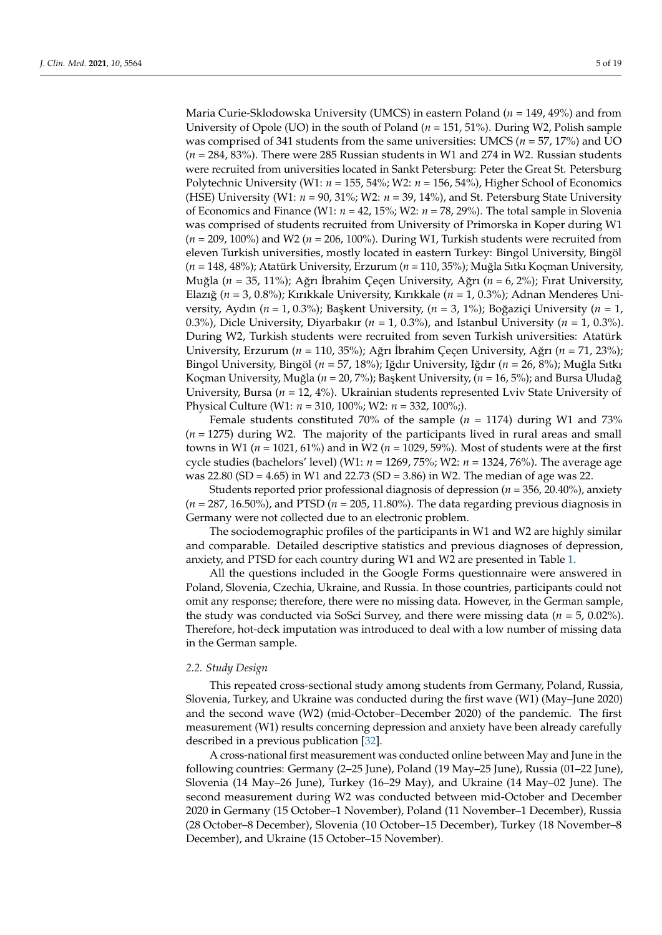Maria Curie-Sklodowska University (UMCS) in eastern Poland (*n* = 149, 49%) and from University of Opole (UO) in the south of Poland (*n* = 151, 51%). During W2, Polish sample was comprised of 341 students from the same universities: UMCS (*n* = 57, 17%) and UO (*n* = 284, 83%). There were 285 Russian students in W1 and 274 in W2. Russian students were recruited from universities located in Sankt Petersburg: Peter the Great St. Petersburg Polytechnic University (W1: *n* = 155, 54%; W2: *n* = 156, 54%), Higher School of Economics (HSE) University (W1: *n* = 90, 31%; W2: *n* = 39, 14%), and St. Petersburg State University of Economics and Finance (W1: *n* = 42, 15%; W2: *n* = 78, 29%). The total sample in Slovenia was comprised of students recruited from University of Primorska in Koper during W1 (*n* = 209, 100%) and W2 (*n* = 206, 100%). During W1, Turkish students were recruited from eleven Turkish universities, mostly located in eastern Turkey: Bingol University, Bingöl (*n* = 148, 48%); Atatürk University, Erzurum (*n* = 110, 35%); Muğla Sıtkı Koçman University, Muğla (*n* = 35, 11%); Ağrı İbrahim Çeçen University, Ağrı (*n* = 6, 2%); Fırat University, Elazığ (*n* = 3, 0.8%); Kırıkkale University, Kırıkkale (*n* = 1, 0.3%); Adnan Menderes University, Aydın (*n* = 1, 0.3%); Başkent University, (*n* = 3, 1%); Boğaziçi University (*n* = 1, 0.3%), Dicle University, Diyarbakır (*n* = 1, 0.3%), and Istanbul University (*n* = 1, 0.3%). During W2, Turkish students were recruited from seven Turkish universities: Atatürk University, Erzurum (*n* = 110, 35%); Ağrı İbrahim Çeçen University, Ağrı (*n* = 71, 23%); Bingol University, Bingöl (*n* = 57, 18%); Iğdır University, Iğdır (*n* = 26, 8%); Muğla Sıtkı Koçman University, Muğla (*n* = 20, 7%); Başkent University, (*n* = 16, 5%); and Bursa Uludağ University, Bursa (*n* = 12, 4%). Ukrainian students represented Lviv State University of Physical Culture (W1: *n* = 310, 100%; W2: *n* = 332, 100%;).

Female students constituted 70% of the sample (*n* = 1174) during W1 and 73% (*n* = 1275) during W2. The majority of the participants lived in rural areas and small towns in W1 (*n* = 1021, 61%) and in W2 (*n* = 1029, 59%). Most of students were at the first cycle studies (bachelors' level) (W1: *n* = 1269, 75%; W2: *n* = 1324, 76%). The average age was 22.80 (SD = 4.65) in W1 and 22.73 (SD = 3.86) in W2. The median of age was 22.

Students reported prior professional diagnosis of depression (*n* = 356, 20.40%), anxiety (*n* = 287, 16.50%), and PTSD (*n* = 205, 11.80%). The data regarding previous diagnosis in Germany were not collected due to an electronic problem.

The sociodemographic profiles of the participants in W1 and W2 are highly similar and comparable. Detailed descriptive statistics and previous diagnoses of depression, anxiety, and PTSD for each country during W1 and W2 are presented in Table [1.](#page-5-0)

All the questions included in the Google Forms questionnaire were answered in Poland, Slovenia, Czechia, Ukraine, and Russia. In those countries, participants could not omit any response; therefore, there were no missing data. However, in the German sample, the study was conducted via SoSci Survey, and there were missing data (*n* = 5, 0.02%). Therefore, hot-deck imputation was introduced to deal with a low number of missing data in the German sample.

#### *2.2. Study Design*

This repeated cross-sectional study among students from Germany, Poland, Russia, Slovenia, Turkey, and Ukraine was conducted during the first wave (W1) (May–June 2020) and the second wave (W2) (mid-October–December 2020) of the pandemic. The first measurement (W1) results concerning depression and anxiety have been already carefully described in a previous publication [\[32\]](#page-17-11).

A cross-national first measurement was conducted online between May and June in the following countries: Germany (2–25 June), Poland (19 May–25 June), Russia (01–22 June), Slovenia (14 May–26 June), Turkey (16–29 May), and Ukraine (14 May–02 June). The second measurement during W2 was conducted between mid-October and December 2020 in Germany (15 October–1 November), Poland (11 November–1 December), Russia (28 October–8 December), Slovenia (10 October–15 December), Turkey (18 November–8 December), and Ukraine (15 October–15 November).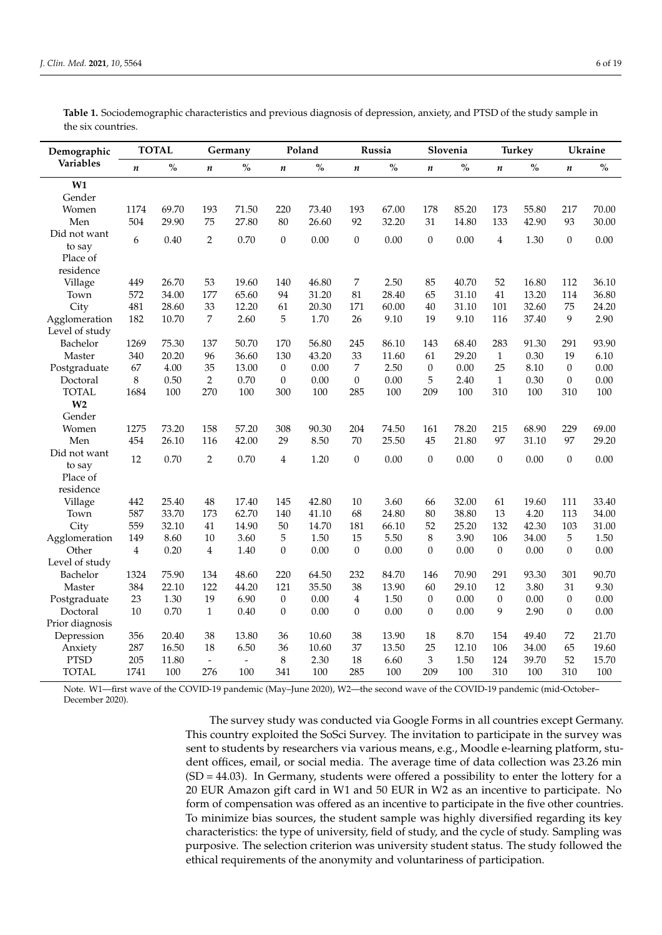| Demographic      | <b>TOTAL</b>   |               | Germany                  |                          | Poland           |               | Russia           |               | Slovenia         |          | <b>Turkey</b>    |       | <b>Ukraine</b>   |               |
|------------------|----------------|---------------|--------------------------|--------------------------|------------------|---------------|------------------|---------------|------------------|----------|------------------|-------|------------------|---------------|
| <b>Variables</b> | $\pmb{n}$      | $\frac{0}{0}$ | $\boldsymbol{n}$         | $\frac{0}{0}$            | $\pmb{n}$        | $\frac{0}{0}$ | $\boldsymbol{n}$ | $\frac{0}{0}$ | $\boldsymbol{n}$ | $\%$     | $\boldsymbol{n}$ | $\%$  | $\boldsymbol{n}$ | $\frac{0}{0}$ |
| W1               |                |               |                          |                          |                  |               |                  |               |                  |          |                  |       |                  |               |
| Gender           |                |               |                          |                          |                  |               |                  |               |                  |          |                  |       |                  |               |
| Women            | 1174           | 69.70         | 193                      | 71.50                    | 220              | 73.40         | 193              | 67.00         | 178              | 85.20    | 173              | 55.80 | 217              | 70.00         |
| Men              | 504            | 29.90         | 75                       | 27.80                    | 80               | 26.60         | 92               | 32.20         | 31               | 14.80    | 133              | 42.90 | 93               | 30.00         |
| Did not want     | 6              | 0.40          | 2                        | 0.70                     | $\theta$         | 0.00          | $\boldsymbol{0}$ | 0.00          | $\boldsymbol{0}$ | 0.00     | $\overline{4}$   | 1.30  | $\mathbf{0}$     | 0.00          |
| to say           |                |               |                          |                          |                  |               |                  |               |                  |          |                  |       |                  |               |
| Place of         |                |               |                          |                          |                  |               |                  |               |                  |          |                  |       |                  |               |
| residence        |                |               |                          |                          |                  |               |                  |               |                  |          |                  |       |                  |               |
| Village          | 449            | 26.70         | 53                       | 19.60                    | 140              | 46.80         | 7                | 2.50          | 85               | 40.70    | 52               | 16.80 | 112              | 36.10         |
| Town             | 572            | 34.00         | 177                      | 65.60                    | 94               | 31.20         | 81               | 28.40         | 65               | 31.10    | 41               | 13.20 | 114              | 36.80         |
| City             | 481            | 28.60         | 33                       | 12.20                    | 61               | 20.30         | 171              | 60.00         | 40               | 31.10    | 101              | 32.60 | 75               | 24.20         |
| Agglomeration    | 182            | 10.70         | 7                        | 2.60                     | 5                | 1.70          | 26               | 9.10          | 19               | 9.10     | 116              | 37.40 | 9                | 2.90          |
| Level of study   |                |               |                          |                          |                  |               |                  |               |                  |          |                  |       |                  |               |
| Bachelor         | 1269           | 75.30         | 137                      | 50.70                    | 170              | 56.80         | 245              | 86.10         | 143              | 68.40    | 283              | 91.30 | 291              | 93.90         |
| Master           | 340            | 20.20         | 96                       | 36.60                    | 130              | 43.20         | 33               | 11.60         | 61               | 29.20    | $\mathbf{1}$     | 0.30  | 19               | 6.10          |
| Postgraduate     | 67             | 4.00          | 35                       | 13.00                    | $\mathbf{0}$     | 0.00          | 7                | 2.50          | $\boldsymbol{0}$ | 0.00     | 25               | 8.10  | $\boldsymbol{0}$ | 0.00          |
| Doctoral         | 8              | 0.50          | $\sqrt{2}$               | 0.70                     | $\boldsymbol{0}$ | 0.00          | $\boldsymbol{0}$ | 0.00          | 5                | 2.40     | $\mathbf{1}$     | 0.30  | $\boldsymbol{0}$ | 0.00          |
| <b>TOTAL</b>     | 1684           | 100           | 270                      | 100                      | 300              | 100           | 285              | 100           | 209              | 100      | 310              | 100   | 310              | 100           |
| W <sub>2</sub>   |                |               |                          |                          |                  |               |                  |               |                  |          |                  |       |                  |               |
| Gender           |                |               |                          |                          |                  |               |                  |               |                  |          |                  |       |                  |               |
| Women            | 1275           | 73.20         | 158                      | 57.20                    | 308              | 90.30         | 204              | 74.50         | 161              | 78.20    | 215              | 68.90 | 229              | 69.00         |
| Men              | 454            | 26.10         | 116                      | 42.00                    | 29               | 8.50          | 70               | 25.50         | 45               | 21.80    | 97               | 31.10 | 97               | 29.20         |
| Did not want     | 12             | 0.70          | $\overline{2}$           | 0.70                     | $\overline{4}$   | 1.20          | $\mathbf{0}$     | 0.00          | $\boldsymbol{0}$ | 0.00     | $\mathbf{0}$     | 0.00  | $\overline{0}$   | 0.00          |
| to say           |                |               |                          |                          |                  |               |                  |               |                  |          |                  |       |                  |               |
| Place of         |                |               |                          |                          |                  |               |                  |               |                  |          |                  |       |                  |               |
| residence        |                |               |                          |                          |                  |               |                  |               |                  |          |                  |       |                  |               |
| Village          | 442            | 25.40         | 48                       | 17.40                    | 145              | 42.80         | 10               | 3.60          | 66               | 32.00    | 61               | 19.60 | 111              | 33.40         |
| Town             | 587            | 33.70         | 173                      | 62.70                    | 140              | 41.10         | 68               | 24.80         | 80               | 38.80    | 13               | 4.20  | 113              | 34.00         |
| City             | 559            | 32.10         | 41                       | 14.90                    | 50               | 14.70         | 181              | 66.10         | 52               | 25.20    | 132              | 42.30 | 103              | 31.00         |
| Agglomeration    | 149            | 8.60          | 10                       | 3.60                     | 5                | 1.50          | 15               | 5.50          | 8                | 3.90     | 106              | 34.00 | 5                | 1.50          |
| Other            | $\overline{4}$ | 0.20          | $\overline{4}$           | 1.40                     | $\mathbf{0}$     | 0.00          | $\mathbf{0}$     | 0.00          | $\boldsymbol{0}$ | 0.00     | $\theta$         | 0.00  | $\boldsymbol{0}$ | 0.00          |
| Level of study   |                |               |                          |                          |                  |               |                  |               |                  |          |                  |       |                  |               |
| Bachelor         | 1324           | 75.90         | 134                      | 48.60                    | 220              | 64.50         | 232              | 84.70         | 146              | 70.90    | 291              | 93.30 | 301              | 90.70         |
| Master           | 384            | 22.10         | 122                      | 44.20                    | 121              | 35.50         | 38               | 13.90         | 60               | 29.10    | 12               | 3.80  | 31               | 9.30          |
| Postgraduate     | 23             | 1.30          | 19                       | 6.90                     | $\theta$         | 0.00          | 4                | 1.50          | $\boldsymbol{0}$ | 0.00     | $\Omega$         | 0.00  | $\theta$         | 0.00          |
| Doctoral         | 10             | 0.70          | $\mathbf{1}$             | 0.40                     | $\theta$         | $0.00\,$      | $\boldsymbol{0}$ | 0.00          | $\boldsymbol{0}$ | $0.00\,$ | 9                | 2.90  | $\boldsymbol{0}$ | 0.00          |
| Prior diagnosis  |                |               |                          |                          |                  |               |                  |               |                  |          |                  |       |                  |               |
| Depression       | 356            | 20.40         | 38                       | 13.80                    | 36               | 10.60         | 38               | 13.90         | 18               | 8.70     | 154              | 49.40 | 72               | 21.70         |
| Anxiety          | 287            | 16.50         | 18                       | 6.50                     | 36               | 10.60         | 37               | 13.50         | 25               | 12.10    | 106              | 34.00 | 65               | 19.60         |
| <b>PTSD</b>      | 205            | 11.80         | $\overline{\phantom{a}}$ | $\overline{\phantom{a}}$ | 8                | 2.30          | 18               | 6.60          | 3                | 1.50     | 124              | 39.70 | 52               | 15.70         |
| <b>TOTAL</b>     | 1741           | 100           | 276                      | 100                      | 341              | 100           | 285              | 100           | 209              | 100      | 310              | 100   | 310              | 100           |

<span id="page-5-0"></span>**Table 1.** Sociodemographic characteristics and previous diagnosis of depression, anxiety, and PTSD of the study sample in the six countries.

Note. W1—first wave of the COVID-19 pandemic (May–June 2020), W2—the second wave of the COVID-19 pandemic (mid-October– December 2020).

> The survey study was conducted via Google Forms in all countries except Germany. This country exploited the SoSci Survey. The invitation to participate in the survey was sent to students by researchers via various means, e.g., Moodle e-learning platform, student offices, email, or social media. The average time of data collection was 23.26 min  $(SD = 44.03)$ . In Germany, students were offered a possibility to enter the lottery for a 20 EUR Amazon gift card in W1 and 50 EUR in W2 as an incentive to participate. No form of compensation was offered as an incentive to participate in the five other countries. To minimize bias sources, the student sample was highly diversified regarding its key characteristics: the type of university, field of study, and the cycle of study. Sampling was purposive. The selection criterion was university student status. The study followed the ethical requirements of the anonymity and voluntariness of participation.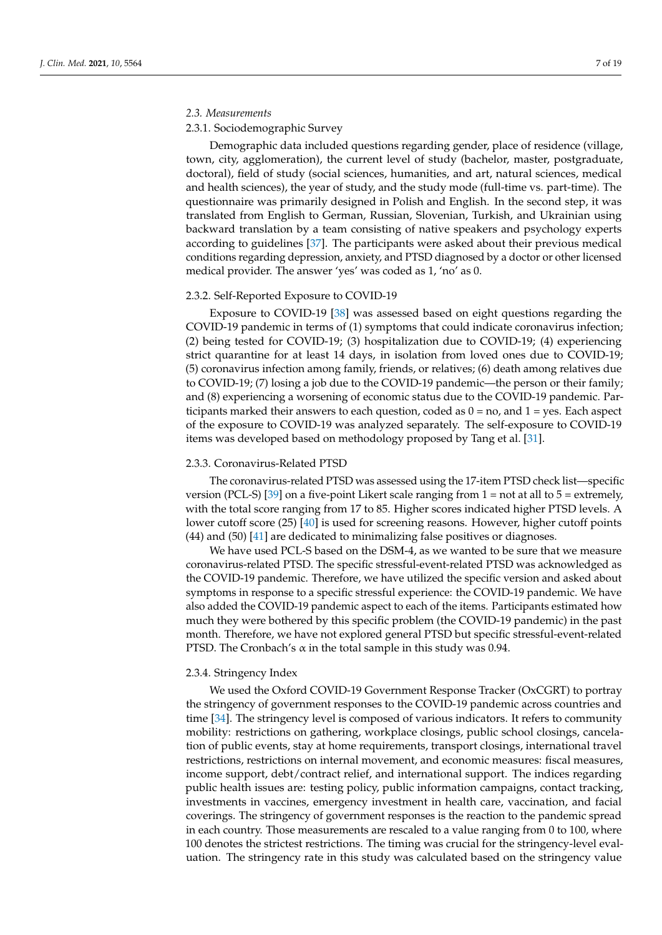# *2.3. Measurements*

## 2.3.1. Sociodemographic Survey

Demographic data included questions regarding gender, place of residence (village, town, city, agglomeration), the current level of study (bachelor, master, postgraduate, doctoral), field of study (social sciences, humanities, and art, natural sciences, medical and health sciences), the year of study, and the study mode (full-time vs. part-time). The questionnaire was primarily designed in Polish and English. In the second step, it was translated from English to German, Russian, Slovenian, Turkish, and Ukrainian using backward translation by a team consisting of native speakers and psychology experts according to guidelines [\[37\]](#page-17-16). The participants were asked about their previous medical conditions regarding depression, anxiety, and PTSD diagnosed by a doctor or other licensed medical provider. The answer 'yes' was coded as 1, 'no' as 0.

## 2.3.2. Self-Reported Exposure to COVID-19

Exposure to COVID-19 [\[38\]](#page-17-17) was assessed based on eight questions regarding the COVID-19 pandemic in terms of (1) symptoms that could indicate coronavirus infection; (2) being tested for COVID-19; (3) hospitalization due to COVID-19; (4) experiencing strict quarantine for at least 14 days, in isolation from loved ones due to COVID-19; (5) coronavirus infection among family, friends, or relatives; (6) death among relatives due to COVID-19; (7) losing a job due to the COVID-19 pandemic—the person or their family; and (8) experiencing a worsening of economic status due to the COVID-19 pandemic. Participants marked their answers to each question, coded as  $0 = no$ , and  $1 = yes$ . Each aspect of the exposure to COVID-19 was analyzed separately. The self-exposure to COVID-19 items was developed based on methodology proposed by Tang et al. [\[31\]](#page-17-10).

#### 2.3.3. Coronavirus-Related PTSD

The coronavirus-related PTSD was assessed using the 17-item PTSD check list—specific version (PCL-S) [\[39\]](#page-17-18) on a five-point Likert scale ranging from  $1 = not$  at all to  $5 =$  extremely, with the total score ranging from 17 to 85. Higher scores indicated higher PTSD levels. A lower cutoff score (25) [\[40\]](#page-17-19) is used for screening reasons. However, higher cutoff points (44) and (50) [\[41\]](#page-17-20) are dedicated to minimalizing false positives or diagnoses.

We have used PCL-S based on the DSM-4, as we wanted to be sure that we measure coronavirus-related PTSD. The specific stressful-event-related PTSD was acknowledged as the COVID-19 pandemic. Therefore, we have utilized the specific version and asked about symptoms in response to a specific stressful experience: the COVID-19 pandemic. We have also added the COVID-19 pandemic aspect to each of the items. Participants estimated how much they were bothered by this specific problem (the COVID-19 pandemic) in the past month. Therefore, we have not explored general PTSD but specific stressful-event-related PTSD. The Cronbach's  $\alpha$  in the total sample in this study was 0.94.

# 2.3.4. Stringency Index

We used the Oxford COVID-19 Government Response Tracker (OxCGRT) to portray the stringency of government responses to the COVID-19 pandemic across countries and time [\[34\]](#page-17-13). The stringency level is composed of various indicators. It refers to community mobility: restrictions on gathering, workplace closings, public school closings, cancelation of public events, stay at home requirements, transport closings, international travel restrictions, restrictions on internal movement, and economic measures: fiscal measures, income support, debt/contract relief, and international support. The indices regarding public health issues are: testing policy, public information campaigns, contact tracking, investments in vaccines, emergency investment in health care, vaccination, and facial coverings. The stringency of government responses is the reaction to the pandemic spread in each country. Those measurements are rescaled to a value ranging from 0 to 100, where 100 denotes the strictest restrictions. The timing was crucial for the stringency-level evaluation. The stringency rate in this study was calculated based on the stringency value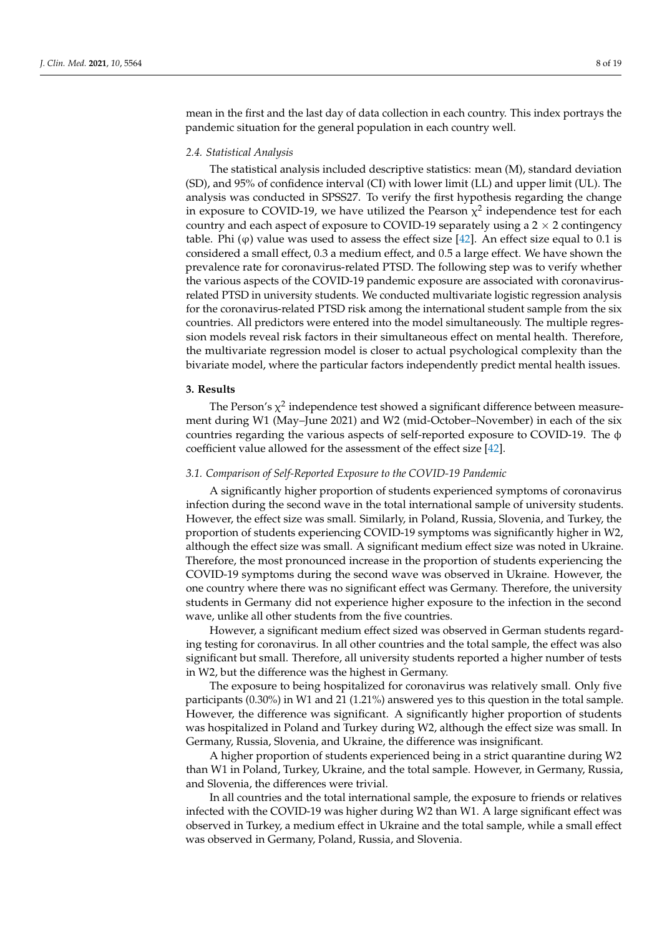mean in the first and the last day of data collection in each country. This index portrays the pandemic situation for the general population in each country well.

# *2.4. Statistical Analysis*

The statistical analysis included descriptive statistics: mean (M), standard deviation (SD), and 95% of confidence interval (CI) with lower limit (LL) and upper limit (UL). The analysis was conducted in SPSS27. To verify the first hypothesis regarding the change in exposure to COVID-19, we have utilized the Pearson  $\chi^2$  independence test for each country and each aspect of exposure to COVID-19 separately using a  $2 \times 2$  contingency table. Phi  $(\varphi)$  value was used to assess the effect size [\[42\]](#page-17-21). An effect size equal to 0.1 is considered a small effect, 0.3 a medium effect, and 0.5 a large effect. We have shown the prevalence rate for coronavirus-related PTSD. The following step was to verify whether the various aspects of the COVID-19 pandemic exposure are associated with coronavirusrelated PTSD in university students. We conducted multivariate logistic regression analysis for the coronavirus-related PTSD risk among the international student sample from the six countries. All predictors were entered into the model simultaneously. The multiple regression models reveal risk factors in their simultaneous effect on mental health. Therefore, the multivariate regression model is closer to actual psychological complexity than the bivariate model, where the particular factors independently predict mental health issues.

## **3. Results**

The Person's  $\chi^2$  independence test showed a significant difference between measurement during W1 (May–June 2021) and W2 (mid-October–November) in each of the six countries regarding the various aspects of self-reported exposure to COVID-19. The φ coefficient value allowed for the assessment of the effect size [\[42\]](#page-17-21).

# *3.1. Comparison of Self-Reported Exposure to the COVID-19 Pandemic*

A significantly higher proportion of students experienced symptoms of coronavirus infection during the second wave in the total international sample of university students. However, the effect size was small. Similarly, in Poland, Russia, Slovenia, and Turkey, the proportion of students experiencing COVID-19 symptoms was significantly higher in W2, although the effect size was small. A significant medium effect size was noted in Ukraine. Therefore, the most pronounced increase in the proportion of students experiencing the COVID-19 symptoms during the second wave was observed in Ukraine. However, the one country where there was no significant effect was Germany. Therefore, the university students in Germany did not experience higher exposure to the infection in the second wave, unlike all other students from the five countries.

However, a significant medium effect sized was observed in German students regarding testing for coronavirus. In all other countries and the total sample, the effect was also significant but small. Therefore, all university students reported a higher number of tests in W2, but the difference was the highest in Germany.

The exposure to being hospitalized for coronavirus was relatively small. Only five participants (0.30%) in W1 and 21 (1.21%) answered yes to this question in the total sample. However, the difference was significant. A significantly higher proportion of students was hospitalized in Poland and Turkey during W2, although the effect size was small. In Germany, Russia, Slovenia, and Ukraine, the difference was insignificant.

A higher proportion of students experienced being in a strict quarantine during W2 than W1 in Poland, Turkey, Ukraine, and the total sample. However, in Germany, Russia, and Slovenia, the differences were trivial.

In all countries and the total international sample, the exposure to friends or relatives infected with the COVID-19 was higher during W2 than W1. A large significant effect was observed in Turkey, a medium effect in Ukraine and the total sample, while a small effect was observed in Germany, Poland, Russia, and Slovenia.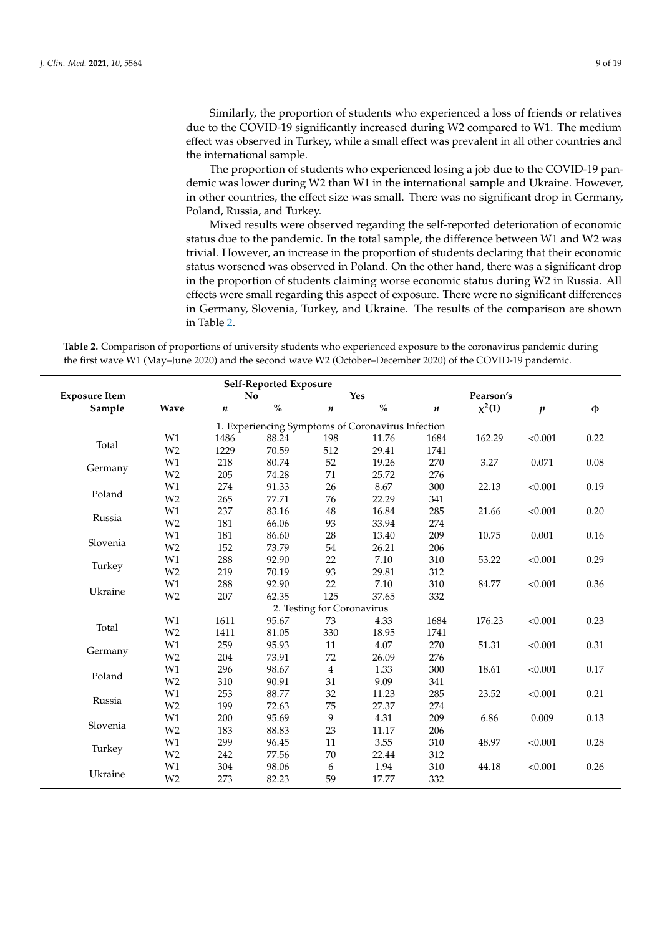Similarly, the proportion of students who experienced a loss of friends or relatives due to the COVID-19 significantly increased during W2 compared to W1. The medium effect was observed in Turkey, while a small effect was prevalent in all other countries and the international sample.

The proportion of students who experienced losing a job due to the COVID-19 pandemic was lower during W2 than W1 in the international sample and Ukraine. However, in other countries, the effect size was small. There was no significant drop in Germany, Poland, Russia, and Turkey.

Mixed results were observed regarding the self-reported deterioration of economic status due to the pandemic. In the total sample, the difference between W1 and W2 was trivial. However, an increase in the proportion of students declaring that their economic status worsened was observed in Poland. On the other hand, there was a significant drop in the proportion of students claiming worse economic status during W2 in Russia. All effects were small regarding this aspect of exposure. There were no significant differences in Germany, Slovenia, Turkey, and Ukraine. The results of the comparison are shown in Table [2.](#page-10-0)

**Table 2.** Comparison of proportions of university students who experienced exposure to the coronavirus pandemic during the first wave W1 (May–June 2020) and the second wave W2 (October–December 2020) of the COVID-19 pandemic.

|                      |                |      | <b>Self-Reported Exposure</b> |                            |                                                   |                  |           |                  |          |
|----------------------|----------------|------|-------------------------------|----------------------------|---------------------------------------------------|------------------|-----------|------------------|----------|
| <b>Exposure Item</b> |                |      | No                            | <b>Yes</b>                 |                                                   |                  | Pearson's |                  |          |
| Sample               | <b>Wave</b>    | n    | $\%$                          | $\boldsymbol{n}$           | $\%$                                              | $\boldsymbol{n}$ | $x^2(1)$  | $\boldsymbol{p}$ | ф        |
|                      |                |      |                               |                            | 1. Experiencing Symptoms of Coronavirus Infection |                  |           |                  |          |
|                      | W1             | 1486 | 88.24                         | 198                        | 11.76                                             | 1684             | 162.29    | < 0.001          | 0.22     |
| Total                | W <sub>2</sub> | 1229 | 70.59                         | 512                        | 29.41                                             | 1741             |           |                  |          |
|                      | W1             | 218  | 80.74                         | 52                         | 19.26                                             | 270              | 3.27      | 0.071            | $0.08\,$ |
| Germany              | W <sub>2</sub> | 205  | 74.28                         | 71                         | 25.72                                             | 276              |           |                  |          |
|                      | W1             | 274  | 91.33                         | 26                         | 8.67                                              | 300              | 22.13     | < 0.001          | 0.19     |
| Poland               | W <sub>2</sub> | 265  | 77.71                         | 76                         | 22.29                                             | 341              |           |                  |          |
|                      | W1             | 237  | 83.16                         | $\rm 48$                   | 16.84                                             | 285              | 21.66     | < 0.001          | 0.20     |
| Russia               | W <sub>2</sub> | 181  | 66.06                         | 93                         | 33.94                                             | 274              |           |                  |          |
|                      | W1             | 181  | 86.60                         | $28\,$                     | 13.40                                             | 209              | 10.75     | 0.001            | 0.16     |
| Slovenia             | W <sub>2</sub> | 152  | 73.79                         | 54                         | 26.21                                             | 206              |           |                  |          |
| Turkey               | W1             | 288  | 92.90                         | 22                         | 7.10                                              | 310              | 53.22     | < 0.001          | 0.29     |
|                      | W <sub>2</sub> | 219  | 70.19                         | 93                         | 29.81                                             | 312              |           |                  |          |
|                      | W1             | 288  | 92.90                         | 22                         | 7.10                                              | 310              | 84.77     | < 0.001          | 0.36     |
| Ukraine              | W <sub>2</sub> | 207  | 62.35                         | 125                        | 37.65                                             | 332              |           |                  |          |
|                      |                |      |                               | 2. Testing for Coronavirus |                                                   |                  |           |                  |          |
|                      | W1             | 1611 | 95.67                         | 73                         | 4.33                                              | 1684             | 176.23    | < 0.001          | 0.23     |
| Total                | W <sub>2</sub> | 1411 | 81.05                         | 330                        | 18.95                                             | 1741             |           |                  |          |
| Germany              | W1             | 259  | 95.93                         | 11                         | 4.07                                              | 270              | 51.31     | < 0.001          | 0.31     |
|                      | W <sub>2</sub> | 204  | 73.91                         | 72                         | 26.09                                             | 276              |           |                  |          |
| Poland               | W1             | 296  | 98.67                         | $\overline{4}$             | 1.33                                              | 300              | 18.61     | < 0.001          | $0.17\,$ |
|                      | W <sub>2</sub> | 310  | 90.91                         | 31                         | 9.09                                              | 341              |           |                  |          |
|                      | W1             | 253  | 88.77                         | 32                         | 11.23                                             | 285              | 23.52     | < 0.001          | 0.21     |
| Russia               | W <sub>2</sub> | 199  | 72.63                         | 75                         | 27.37                                             | 274              |           |                  |          |
|                      | W1             | 200  | 95.69                         | 9                          | 4.31                                              | 209              | 6.86      | 0.009            | 0.13     |
| Slovenia             | W <sub>2</sub> | 183  | 88.83                         | 23                         | 11.17                                             | 206              |           |                  |          |
| Turkey               | W1             | 299  | 96.45                         | 11                         | 3.55                                              | 310              | 48.97     | < 0.001          | 0.28     |
|                      | W <sub>2</sub> | 242  | 77.56                         | 70                         | 22.44                                             | 312              |           |                  |          |
| Ukraine              | W1             | 304  | 98.06                         | 6                          | 1.94                                              | 310              | 44.18     | < 0.001          | 0.26     |
|                      | W <sub>2</sub> | 273  | 82.23                         | 59                         | 17.77                                             | 332              |           |                  |          |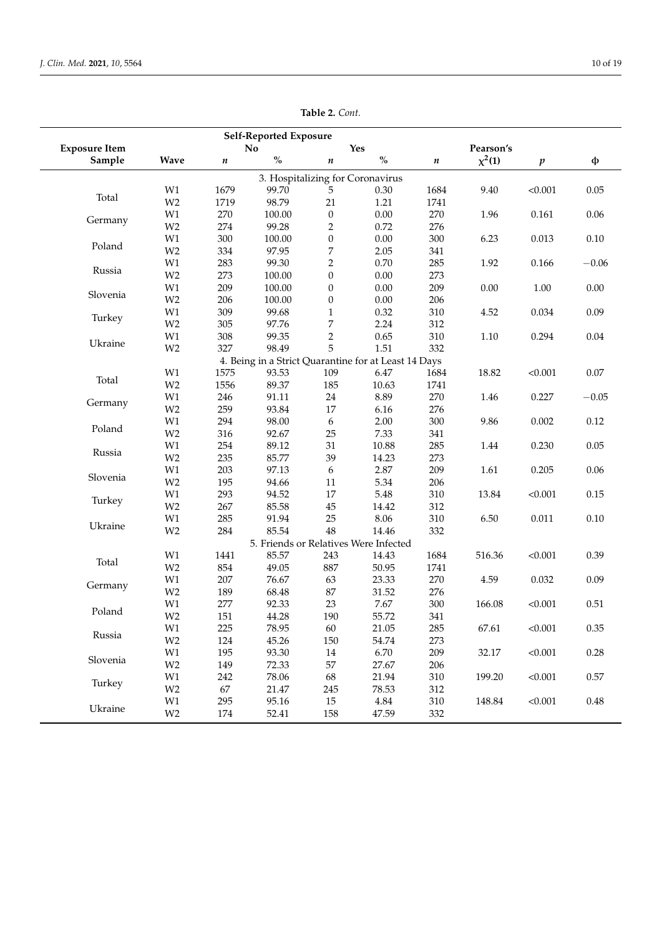|                      |                                 |      | <b>Self-Reported Exposure</b> |                  |                                                      |           |             |         |          |
|----------------------|---------------------------------|------|-------------------------------|------------------|------------------------------------------------------|-----------|-------------|---------|----------|
| <b>Exposure Item</b> |                                 |      | No                            |                  | <b>Yes</b>                                           |           | Pearson's   |         |          |
| Sample               | Wave                            | n    | $\%$                          | $\pmb{n}$        | $\mathbf{O}_{\!\!/_\mathbf{O}}$                      | $\pmb{n}$ | $\chi^2(1)$ | p       | φ        |
|                      |                                 |      |                               |                  | 3. Hospitalizing for Coronavirus                     |           |             |         |          |
|                      | W1                              | 1679 | 99.70                         | 5                | 0.30                                                 | 1684      | 9.40        | < 0.001 | 0.05     |
| Total                | W <sub>2</sub>                  | 1719 | 98.79                         | 21               | 1.21                                                 | 1741      |             |         |          |
|                      | W1                              | 270  | 100.00                        | $\boldsymbol{0}$ | 0.00                                                 | 270       | 1.96        | 0.161   | 0.06     |
| Germany              | W <sub>2</sub>                  | 274  | 99.28                         | $\overline{2}$   | 0.72                                                 | 276       |             |         |          |
|                      | W1                              | 300  | 100.00                        | $\boldsymbol{0}$ | 0.00                                                 | 300       | 6.23        | 0.013   | 0.10     |
| Poland               | W <sub>2</sub>                  | 334  | 97.95                         | $\boldsymbol{7}$ | 2.05                                                 | 341       |             |         |          |
|                      | W1                              | 283  | 99.30                         | $\overline{c}$   | 0.70                                                 | 285       | 1.92        | 0.166   | $-0.06$  |
| Russia               | W <sub>2</sub>                  | 273  | 100.00                        | $\boldsymbol{0}$ | 0.00                                                 | 273       |             |         |          |
|                      | W1                              | 209  | 100.00                        | $\boldsymbol{0}$ | 0.00                                                 | 209       | $0.00\,$    | 1.00    | 0.00     |
| Slovenia             | W <sub>2</sub>                  | 206  | 100.00                        | $\boldsymbol{0}$ | 0.00                                                 | 206       |             |         |          |
|                      | W1                              | 309  | 99.68                         | $\mathbf{1}$     | 0.32                                                 | 310       | 4.52        | 0.034   | 0.09     |
| Turkey               | W <sub>2</sub>                  | 305  | 97.76                         | $\boldsymbol{7}$ | 2.24                                                 | 312       |             |         |          |
|                      | W1                              | 308  | 99.35                         | $\,2$            | 0.65                                                 | 310       | $1.10\,$    | 0.294   | $0.04\,$ |
| Ukraine              | W <sub>2</sub>                  | 327  | 98.49                         | 5                | 1.51                                                 | 332       |             |         |          |
|                      |                                 |      |                               |                  | 4. Being in a Strict Quarantine for at Least 14 Days |           |             |         |          |
|                      | W1                              | 1575 | 93.53                         | 109              | 6.47                                                 | 1684      | 18.82       | < 0.001 | $0.07\,$ |
| Total                | W <sub>2</sub>                  | 1556 | 89.37                         | 185              | 10.63                                                | 1741      |             |         |          |
|                      | W1                              | 246  | 91.11                         | $24\,$           | 8.89                                                 | 270       | 1.46        | 0.227   | $-0.05$  |
| Germany              | W <sub>2</sub>                  | 259  | 93.84                         | $17\,$           | 6.16                                                 | 276       |             |         |          |
|                      | W1                              | 294  | 98.00                         | $\boldsymbol{6}$ | 2.00                                                 | 300       | 9.86        | 0.002   | 0.12     |
| Poland               | W <sub>2</sub>                  | 316  | 92.67                         | 25               | 7.33                                                 | 341       |             |         |          |
|                      | W1                              | 254  | 89.12                         | 31               | 10.88                                                | 285       | 1.44        | 0.230   | 0.05     |
| Russia               | W <sub>2</sub>                  | 235  | 85.77                         | 39               | 14.23                                                | 273       |             |         |          |
|                      | W1                              | 203  | 97.13                         | $\boldsymbol{6}$ | 2.87                                                 | 209       | 1.61        | 0.205   | 0.06     |
| Slovenia             | W <sub>2</sub>                  | 195  | 94.66                         | $11\,$           | 5.34                                                 | 206       |             |         |          |
| Turkey               | W1                              | 293  | 94.52                         | 17               | 5.48                                                 | 310       | 13.84       | < 0.001 | 0.15     |
|                      | W <sub>2</sub>                  | 267  | 85.58                         | $45\,$           | 14.42                                                | 312       |             |         |          |
|                      | W1                              | 285  | 91.94                         | $25\,$           | 8.06                                                 | 310       | 6.50        | 0.011   | 0.10     |
| Ukraine              | W <sub>2</sub>                  | 284  | 85.54                         | 48               | 14.46                                                | 332       |             |         |          |
|                      |                                 |      |                               |                  | 5. Friends or Relatives Were Infected                |           |             |         |          |
| Total                | W1                              | 1441 | 85.57                         | 243              | 14.43                                                | 1684      | 516.36      | < 0.001 | 0.39     |
|                      | W <sub>2</sub>                  | 854  | 49.05                         | 887              | 50.95                                                | 1741      |             |         |          |
| Germany              | W1                              | 207  | 76.67                         | 63               | 23.33                                                | 270       | 4.59        | 0.032   | 0.09     |
|                      | W <sub>2</sub>                  | 189  | 68.48                         | $87\,$           | 31.52                                                | 276       |             |         |          |
|                      | W1                              | 277  | 92.33                         | 23               | 7.67                                                 | 300       | 166.08      | < 0.001 | 0.51     |
| Poland               | W <sub>2</sub>                  | 151  | 44.28                         | 190              | 55.72                                                | 341       |             |         |          |
|                      | W1                              | 225  | 78.95                         | 60               | 21.05                                                | 285       | 67.61       | < 0.001 | 0.35     |
| Russia               | W <sub>2</sub>                  | 124  | 45.26                         | 150              | 54.74                                                | 273       |             |         |          |
| Slovenia             | $\rm W1$                        | 195  | 93.30                         | $14\,$           | 6.70                                                 | 209       | 32.17       | < 0.001 | $0.28\,$ |
|                      | W <sub>2</sub>                  | 149  | 72.33                         | 57               | 27.67                                                | 206       |             |         |          |
| Turkey               | $\rm W1$                        | 242  | 78.06                         | 68               | 21.94                                                | 310       | 199.20      | < 0.001 | 0.57     |
|                      | W <sub>2</sub>                  | 67   | 21.47                         | 245              | 78.53                                                | 312       |             |         |          |
| Ukraine              | W1                              | 295  | 95.16                         | 15               | 4.84                                                 | 310       | 148.84      | < 0.001 | $0.48\,$ |
|                      | $\ensuremath{\text{W2}}\xspace$ | 174  | 52.41                         | 158              | 47.59                                                | 332       |             |         |          |

**Table 2.** *Cont.*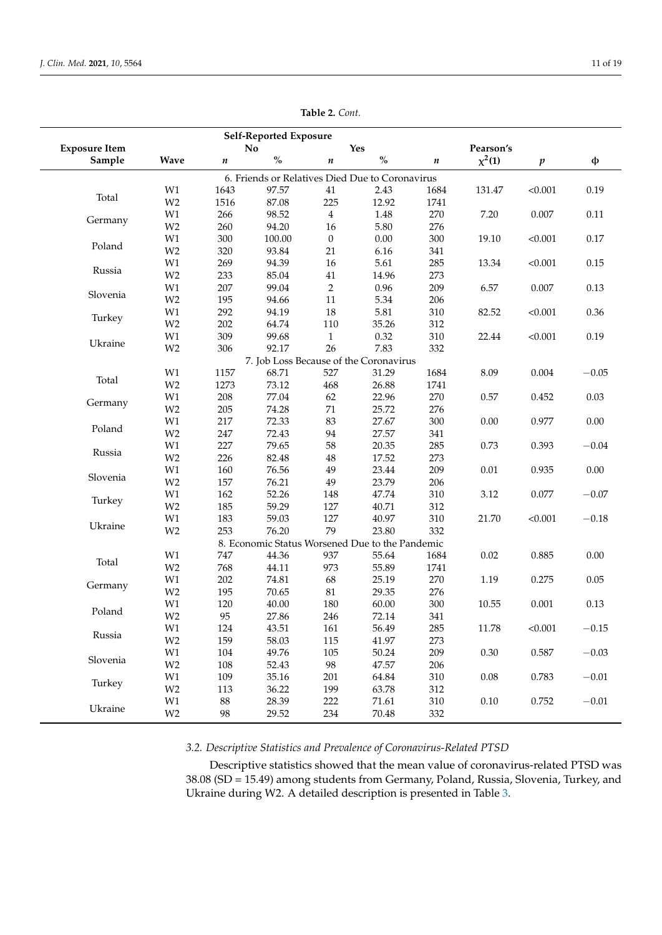<span id="page-10-0"></span>

|                      |                |                  | Self-Reported Exposure |                  |                                                          |      |             |                  |         |
|----------------------|----------------|------------------|------------------------|------------------|----------------------------------------------------------|------|-------------|------------------|---------|
| <b>Exposure Item</b> |                |                  | N <sub>o</sub>         |                  | Yes                                                      |      | Pearson's   |                  |         |
| Sample               | <b>Wave</b>    | $\boldsymbol{n}$ | $\%$                   | $\boldsymbol{n}$ | $\mathbf{O}_{\mathbf{O}}^{\prime}$                       | n    | $\chi^2(1)$ | $\boldsymbol{p}$ | φ       |
|                      |                |                  |                        |                  | 6. Friends or Relatives Died Due to Coronavirus          |      |             |                  |         |
|                      | W1             | 1643             | 97.57                  | 41               | 2.43                                                     | 1684 | 131.47      | < 0.001          | 0.19    |
| Total                | W <sub>2</sub> | 1516             | 87.08                  | 225              | 12.92                                                    | 1741 |             |                  |         |
| Germany              | W1             | 266              | 98.52                  | $\overline{4}$   | 1.48                                                     | 270  | 7.20        | 0.007            | 0.11    |
|                      | W <sub>2</sub> | 260              | 94.20                  | 16               | 5.80                                                     | 276  |             |                  |         |
| Poland               | W1             | 300              | 100.00                 | $\mathbf{0}$     | $0.00\,$                                                 | 300  | 19.10       | < 0.001          | 0.17    |
|                      | W <sub>2</sub> | 320              | 93.84                  | 21               | 6.16                                                     | 341  |             |                  |         |
| Russia               | W1             | 269              | 94.39                  | 16               | 5.61                                                     | 285  | 13.34       | < 0.001          | 0.15    |
|                      | W <sub>2</sub> | 233              | 85.04                  | $41\,$           | 14.96                                                    | 273  |             |                  |         |
| Slovenia             | W1             | 207              | 99.04                  | $\overline{2}$   | 0.96                                                     | 209  | 6.57        | 0.007            | 0.13    |
|                      | W <sub>2</sub> | 195              | 94.66                  | 11               | 5.34                                                     | 206  |             |                  |         |
| Turkey               | W1             | 292              | 94.19                  | $18\,$           | 5.81                                                     | 310  | 82.52       | < 0.001          | 0.36    |
|                      | W <sub>2</sub> | 202              | 64.74                  | 110              | 35.26                                                    | 312  |             |                  |         |
| Ukraine              | W1             | 309              | 99.68                  | $\mathbf{1}$     | 0.32                                                     | 310  | 22.44       | < 0.001          | 0.19    |
|                      | W <sub>2</sub> | 306              | 92.17                  | 26               | 7.83                                                     | 332  |             |                  |         |
|                      |                |                  |                        |                  | 7. Job Loss Because of the Coronavirus                   |      |             |                  |         |
| Total                | W1             | 1157             | 68.71                  | 527              | 31.29                                                    | 1684 | 8.09        | 0.004            | $-0.05$ |
|                      | W <sub>2</sub> | 1273             | 73.12                  | 468              | 26.88                                                    | 1741 |             |                  |         |
| Germany              | W1             | 208              | 77.04                  | 62               | 22.96                                                    | 270  | 0.57        | 0.452            | 0.03    |
|                      | W <sub>2</sub> | 205              | 74.28                  | 71               | 25.72                                                    | 276  |             |                  |         |
| Poland               | W1             | 217              | 72.33                  | 83               | 27.67                                                    | 300  | 0.00        | 0.977            | 0.00    |
|                      | W <sub>2</sub> | 247              | 72.43                  | 94               | 27.57                                                    | 341  |             |                  |         |
| Russia               | W1             | 227              | 79.65                  | 58               | 20.35                                                    | 285  | 0.73        | 0.393            | $-0.04$ |
|                      | W <sub>2</sub> | 226              | 82.48                  | $48\,$           | 17.52                                                    | 273  |             |                  |         |
| Slovenia             | W1             | 160              | 76.56                  | 49               | 23.44                                                    | 209  | 0.01        | 0.935            | 0.00    |
|                      | W <sub>2</sub> | 157              | 76.21                  | 49               | 23.79                                                    | 206  |             |                  |         |
| Turkey               | W1             | 162              | 52.26                  | 148              | 47.74                                                    | 310  | 3.12        | 0.077            | $-0.07$ |
|                      | W <sub>2</sub> | 185              | 59.29                  | 127              | 40.71                                                    | 312  |             |                  |         |
| Ukraine              | W1             | 183              | 59.03                  | 127<br>79        | 40.97                                                    | 310  | 21.70       | < 0.001          | $-0.18$ |
|                      | W <sub>2</sub> | 253              | 76.20                  |                  | 23.80<br>8. Economic Status Worsened Due to the Pandemic | 332  |             |                  |         |
|                      | W1             | 747              | 44.36                  | 937              | 55.64                                                    | 1684 | 0.02        | 0.885            | 0.00    |
| Total                | W <sub>2</sub> | 768              | 44.11                  | 973              | 55.89                                                    | 1741 |             |                  |         |
|                      | W1             | 202              | 74.81                  | 68               | 25.19                                                    | 270  | 1.19        | 0.275            | 0.05    |
| Germany              | W <sub>2</sub> | 195              | 70.65                  | $81\,$           | 29.35                                                    | 276  |             |                  |         |
|                      | W1             | 120              | 40.00                  | 180              | 60.00                                                    | 300  | 10.55       | 0.001            | 0.13    |
| Poland               | W <sub>2</sub> | 95               | 27.86                  | 246              | 72.14                                                    | 341  |             |                  |         |
|                      | $\mbox{W1}$    | 124              | 43.51                  | 161              | 56.49                                                    | 285  | 11.78       | < 0.001          | $-0.15$ |
| Russia               | W <sub>2</sub> | 159              | 58.03                  | 115              | 41.97                                                    | 273  |             |                  |         |
|                      | $\mbox{W1}$    | 104              | 49.76                  | 105              | 50.24                                                    | 209  | $0.30\,$    | 0.587            | $-0.03$ |
| Slovenia             | W <sub>2</sub> | 108              | 52.43                  | 98               | 47.57                                                    | 206  |             |                  |         |
|                      | W1             | 109              | 35.16                  | 201              | 64.84                                                    | 310  | 0.08        | 0.783            | $-0.01$ |
| Turkey               | W <sub>2</sub> | 113              | 36.22                  | 199              | 63.78                                                    | 312  |             |                  |         |
|                      | W1             | $88\,$           | 28.39                  | 222              | 71.61                                                    | 310  | $0.10\,$    | 0.752            | $-0.01$ |
| Ukraine              | W <sub>2</sub> | 98               | 29.52                  | 234              | 70.48                                                    | 332  |             |                  |         |
|                      |                |                  |                        |                  |                                                          |      |             |                  |         |

**Table 2.** *Cont.*

# *3.2. Descriptive Statistics and Prevalence of Coronavirus-Related PTSD*

Descriptive statistics showed that the mean value of coronavirus-related PTSD was 38.08 (SD = 15.49) among students from Germany, Poland, Russia, Slovenia, Turkey, and Ukraine during W2. A detailed description is presented in Table [3.](#page-11-0)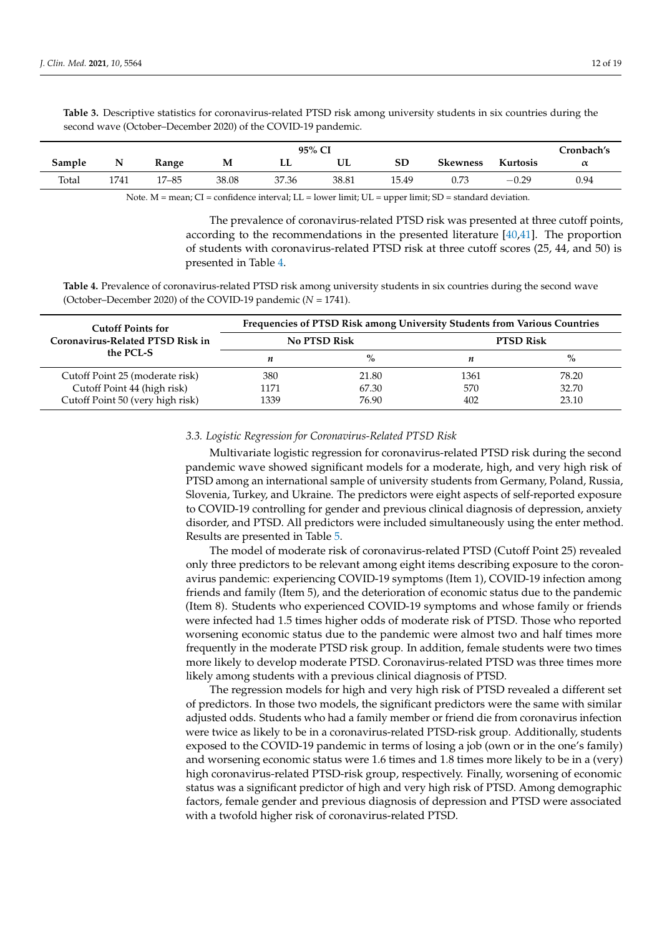<span id="page-11-0"></span>**Table 3.** Descriptive statistics for coronavirus-related PTSD risk among university students in six countries during the second wave (October–December 2020) of the COVID-19 pandemic.

| 95% CI |      |           |       |       |       |       |                 |          |          |  |
|--------|------|-----------|-------|-------|-------|-------|-----------------|----------|----------|--|
| Sample | N    | Range     | M     | LL    | UL    | SD    | <b>Skewness</b> | Kurtosis | $\alpha$ |  |
| Total  | 1741 | $17 - 85$ | 38.08 | 37.36 | 38.81 | 15.49 | 0.73            | $-0.29$  | 0.94     |  |

Note. M = mean; CI = confidence interval; LL = lower limit; UL = upper limit; SD = standard deviation.

The prevalence of coronavirus-related PTSD risk was presented at three cutoff points, according to the recommendations in the presented literature [\[40](#page-17-19)[,41\]](#page-17-20). The proportion of students with coronavirus-related PTSD risk at three cutoff scores (25, 44, and 50) is presented in Table [4.](#page-11-1)

<span id="page-11-1"></span>**Table 4.** Prevalence of coronavirus-related PTSD risk among university students in six countries during the second wave (October–December 2020) of the COVID-19 pandemic  $(N = 1741)$ .

| <b>Cutoff Points for</b>         | <b>Frequencies of PTSD Risk among University Students from Various Countries</b> |              |                  |       |  |  |  |  |  |  |
|----------------------------------|----------------------------------------------------------------------------------|--------------|------------------|-------|--|--|--|--|--|--|
| Coronavirus-Related PTSD Risk in |                                                                                  | No PTSD Risk | <b>PTSD Risk</b> |       |  |  |  |  |  |  |
| the PCL-S                        | n                                                                                | $\%$         | п                | $\%$  |  |  |  |  |  |  |
| Cutoff Point 25 (moderate risk)  | 380                                                                              | 21.80        | 1361             | 78.20 |  |  |  |  |  |  |
| Cutoff Point 44 (high risk)      | 1171                                                                             | 67.30        | 570              | 32.70 |  |  |  |  |  |  |
| Cutoff Point 50 (very high risk) | 1339                                                                             | 76.90        | 402              | 23.10 |  |  |  |  |  |  |

## *3.3. Logistic Regression for Coronavirus-Related PTSD Risk*

Multivariate logistic regression for coronavirus-related PTSD risk during the second pandemic wave showed significant models for a moderate, high, and very high risk of PTSD among an international sample of university students from Germany, Poland, Russia, Slovenia, Turkey, and Ukraine. The predictors were eight aspects of self-reported exposure to COVID-19 controlling for gender and previous clinical diagnosis of depression, anxiety disorder, and PTSD. All predictors were included simultaneously using the enter method. Results are presented in Table [5.](#page-12-0)

The model of moderate risk of coronavirus-related PTSD (Cutoff Point 25) revealed only three predictors to be relevant among eight items describing exposure to the coronavirus pandemic: experiencing COVID-19 symptoms (Item 1), COVID-19 infection among friends and family (Item 5), and the deterioration of economic status due to the pandemic (Item 8). Students who experienced COVID-19 symptoms and whose family or friends were infected had 1.5 times higher odds of moderate risk of PTSD. Those who reported worsening economic status due to the pandemic were almost two and half times more frequently in the moderate PTSD risk group. In addition, female students were two times more likely to develop moderate PTSD. Coronavirus-related PTSD was three times more likely among students with a previous clinical diagnosis of PTSD.

The regression models for high and very high risk of PTSD revealed a different set of predictors. In those two models, the significant predictors were the same with similar adjusted odds. Students who had a family member or friend die from coronavirus infection were twice as likely to be in a coronavirus-related PTSD-risk group. Additionally, students exposed to the COVID-19 pandemic in terms of losing a job (own or in the one's family) and worsening economic status were 1.6 times and 1.8 times more likely to be in a (very) high coronavirus-related PTSD-risk group, respectively. Finally, worsening of economic status was a significant predictor of high and very high risk of PTSD. Among demographic factors, female gender and previous diagnosis of depression and PTSD were associated with a twofold higher risk of coronavirus-related PTSD.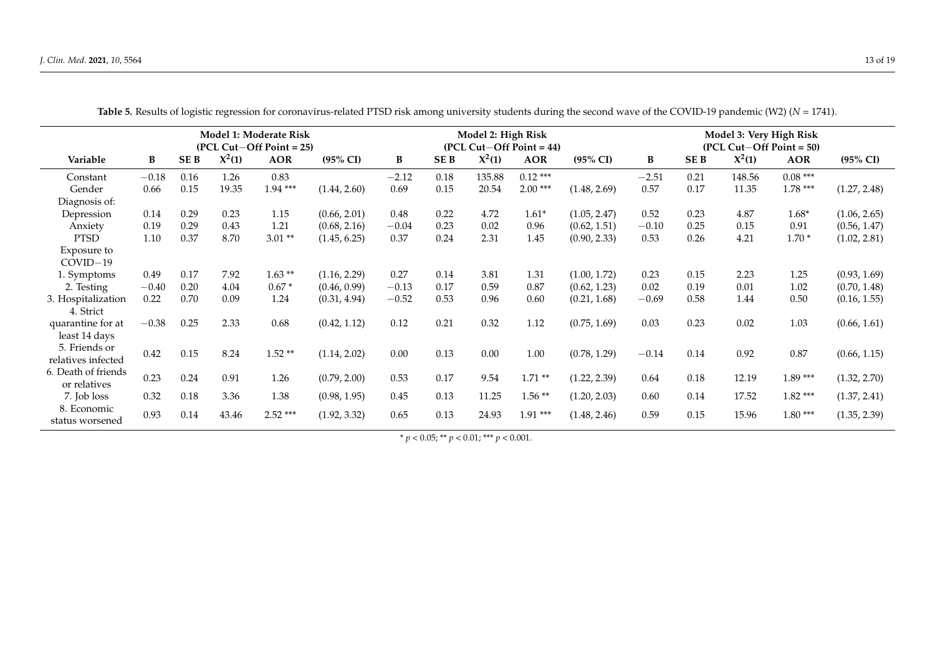<span id="page-12-0"></span>

|                                     |         |            |          | Model 1: Moderate Risk<br>$(PCL Cut–Off Point = 25)$ |                     | Model 2: High Risk<br>$(PCL Cut–Off Point = 44)$ |      |          |            |                     | Model 3: Very High Risk<br>$(PCL Cut–Off Point = 50)$ |                 |          |            |                     |
|-------------------------------------|---------|------------|----------|------------------------------------------------------|---------------------|--------------------------------------------------|------|----------|------------|---------------------|-------------------------------------------------------|-----------------|----------|------------|---------------------|
| Variable                            | B       | <b>SEB</b> | $X^2(1)$ | <b>AOR</b>                                           | $(95\% \text{ CI})$ | B                                                | SE B | $X^2(1)$ | <b>AOR</b> | $(95\% \text{ CI})$ | B                                                     | SE <sub>B</sub> | $X^2(1)$ | <b>AOR</b> | $(95\% \text{ CI})$ |
| Constant                            | $-0.18$ | 0.16       | 1.26     | 0.83                                                 |                     | $-2.12$                                          | 0.18 | 135.88   | $0.12***$  |                     | $-2.51$                                               | 0.21            | 148.56   | $0.08***$  |                     |
| Gender                              | 0.66    | 0.15       | 19.35    | $1.94***$                                            | (1.44, 2.60)        | 0.69                                             | 0.15 | 20.54    | $2.00***$  | (1.48, 2.69)        | 0.57                                                  | 0.17            | 11.35    | $1.78***$  | (1.27, 2.48)        |
| Diagnosis of:                       |         |            |          |                                                      |                     |                                                  |      |          |            |                     |                                                       |                 |          |            |                     |
| Depression                          | 0.14    | 0.29       | 0.23     | 1.15                                                 | (0.66, 2.01)        | 0.48                                             | 0.22 | 4.72     | $1.61*$    | (1.05, 2.47)        | 0.52                                                  | 0.23            | 4.87     | $1.68*$    | (1.06, 2.65)        |
| Anxiety                             | 0.19    | 0.29       | 0.43     | 1.21                                                 | (0.68, 2.16)        | $-0.04$                                          | 0.23 | 0.02     | 0.96       | (0.62, 1.51)        | $-0.10$                                               | 0.25            | 0.15     | 0.91       | (0.56, 1.47)        |
| <b>PTSD</b>                         | 1.10    | 0.37       | 8.70     | $3.01**$                                             | (1.45, 6.25)        | 0.37                                             | 0.24 | 2.31     | 1.45       | (0.90, 2.33)        | 0.53                                                  | 0.26            | 4.21     | $1.70*$    | (1.02, 2.81)        |
| Exposure to<br>$COVID-19$           |         |            |          |                                                      |                     |                                                  |      |          |            |                     |                                                       |                 |          |            |                     |
| 1. Symptoms                         | 0.49    | 0.17       | 7.92     | $1.63**$                                             | (1.16, 2.29)        | 0.27                                             | 0.14 | 3.81     | 1.31       | (1.00, 1.72)        | 0.23                                                  | 0.15            | 2.23     | 1.25       | (0.93, 1.69)        |
| 2. Testing                          | $-0.40$ | 0.20       | 4.04     | $0.67*$                                              | (0.46, 0.99)        | $-0.13$                                          | 0.17 | 0.59     | 0.87       | (0.62, 1.23)        | 0.02                                                  | 0.19            | 0.01     | 1.02       | (0.70, 1.48)        |
| 3. Hospitalization<br>4. Strict     | 0.22    | 0.70       | 0.09     | 1.24                                                 | (0.31, 4.94)        | $-0.52$                                          | 0.53 | 0.96     | 0.60       | (0.21, 1.68)        | $-0.69$                                               | 0.58            | 1.44     | 0.50       | (0.16, 1.55)        |
| quarantine for at<br>least 14 days  | $-0.38$ | 0.25       | 2.33     | 0.68                                                 | (0.42, 1.12)        | 0.12                                             | 0.21 | 0.32     | 1.12       | (0.75, 1.69)        | 0.03                                                  | 0.23            | 0.02     | 1.03       | (0.66, 1.61)        |
| 5. Friends or<br>relatives infected | 0.42    | 0.15       | 8.24     | $1.52**$                                             | (1.14, 2.02)        | 0.00                                             | 0.13 | 0.00     | 1.00       | (0.78, 1.29)        | $-0.14$                                               | 0.14            | 0.92     | 0.87       | (0.66, 1.15)        |
| 6. Death of friends<br>or relatives | 0.23    | 0.24       | 0.91     | 1.26                                                 | (0.79, 2.00)        | 0.53                                             | 0.17 | 9.54     | $1.71**$   | (1.22, 2.39)        | 0.64                                                  | 0.18            | 12.19    | $1.89***$  | (1.32, 2.70)        |
| 7. Job loss                         | 0.32    | 0.18       | 3.36     | 1.38                                                 | (0.98, 1.95)        | 0.45                                             | 0.13 | 11.25    | $1.56**$   | (1.20, 2.03)        | 0.60                                                  | 0.14            | 17.52    | $1.82***$  | (1.37, 2.41)        |
| 8. Economic<br>status worsened      | 0.93    | 0.14       | 43.46    | $2.52***$                                            | (1.92, 3.32)        | 0.65                                             | 0.13 | 24.93    | $1.91***$  | (1.48, 2.46)        | 0.59                                                  | 0.15            | 15.96    | $1.80***$  | (1.35, 2.39)        |

| Table 5. Results of logistic regression for coronavirus-related PTSD risk among university students during the second wave of the COVID-19 pandemic (W2) ( $N = 1741$ ). |  |  |
|--------------------------------------------------------------------------------------------------------------------------------------------------------------------------|--|--|
|                                                                                                                                                                          |  |  |

 $* p < 0.05; ** p < 0.01;*** p < 0.001.$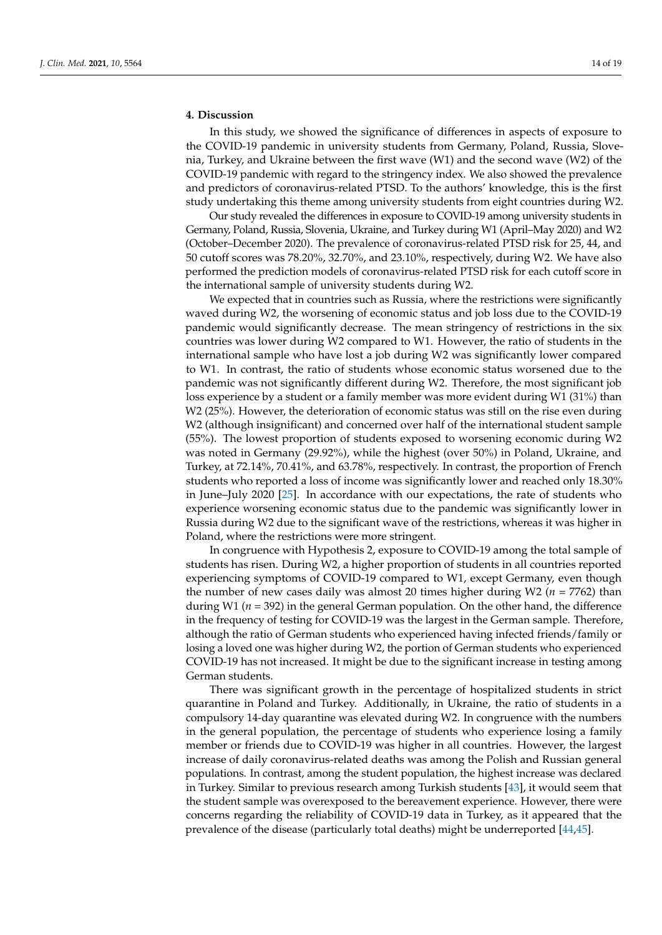# **4. Discussion**

In this study, we showed the significance of differences in aspects of exposure to the COVID-19 pandemic in university students from Germany, Poland, Russia, Slovenia, Turkey, and Ukraine between the first wave (W1) and the second wave (W2) of the COVID-19 pandemic with regard to the stringency index. We also showed the prevalence and predictors of coronavirus-related PTSD. To the authors' knowledge, this is the first study undertaking this theme among university students from eight countries during W2.

Our study revealed the differences in exposure to COVID-19 among university students in Germany, Poland, Russia, Slovenia, Ukraine, and Turkey during W1 (April–May 2020) and W2 (October–December 2020). The prevalence of coronavirus-related PTSD risk for 25, 44, and 50 cutoff scores was 78.20%, 32.70%, and 23.10%, respectively, during W2. We have also performed the prediction models of coronavirus-related PTSD risk for each cutoff score in the international sample of university students during W2.

We expected that in countries such as Russia, where the restrictions were significantly waved during W2, the worsening of economic status and job loss due to the COVID-19 pandemic would significantly decrease. The mean stringency of restrictions in the six countries was lower during W2 compared to W1. However, the ratio of students in the international sample who have lost a job during W2 was significantly lower compared to W1. In contrast, the ratio of students whose economic status worsened due to the pandemic was not significantly different during W2. Therefore, the most significant job loss experience by a student or a family member was more evident during W1 (31%) than W2 (25%). However, the deterioration of economic status was still on the rise even during W2 (although insignificant) and concerned over half of the international student sample (55%). The lowest proportion of students exposed to worsening economic during W2 was noted in Germany (29.92%), while the highest (over 50%) in Poland, Ukraine, and Turkey, at 72.14%, 70.41%, and 63.78%, respectively. In contrast, the proportion of French students who reported a loss of income was significantly lower and reached only 18.30% in June–July 2020 [\[25\]](#page-17-4). In accordance with our expectations, the rate of students who experience worsening economic status due to the pandemic was significantly lower in Russia during W2 due to the significant wave of the restrictions, whereas it was higher in Poland, where the restrictions were more stringent.

In congruence with Hypothesis 2, exposure to COVID-19 among the total sample of students has risen. During W2, a higher proportion of students in all countries reported experiencing symptoms of COVID-19 compared to W1, except Germany, even though the number of new cases daily was almost 20 times higher during W2 (*n* = 7762) than during W1 (*n* = 392) in the general German population. On the other hand, the difference in the frequency of testing for COVID-19 was the largest in the German sample. Therefore, although the ratio of German students who experienced having infected friends/family or losing a loved one was higher during W2, the portion of German students who experienced COVID-19 has not increased. It might be due to the significant increase in testing among German students.

There was significant growth in the percentage of hospitalized students in strict quarantine in Poland and Turkey. Additionally, in Ukraine, the ratio of students in a compulsory 14-day quarantine was elevated during W2. In congruence with the numbers in the general population, the percentage of students who experience losing a family member or friends due to COVID-19 was higher in all countries. However, the largest increase of daily coronavirus-related deaths was among the Polish and Russian general populations. In contrast, among the student population, the highest increase was declared in Turkey. Similar to previous research among Turkish students [\[43\]](#page-17-22), it would seem that the student sample was overexposed to the bereavement experience. However, there were concerns regarding the reliability of COVID-19 data in Turkey, as it appeared that the prevalence of the disease (particularly total deaths) might be underreported [\[44](#page-17-23)[,45\]](#page-17-24).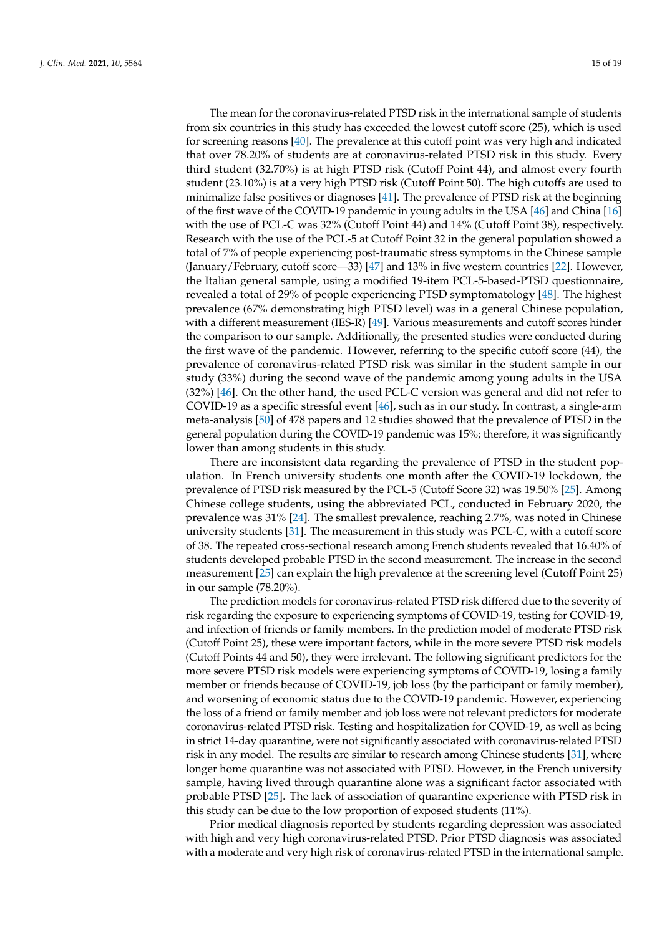The mean for the coronavirus-related PTSD risk in the international sample of students from six countries in this study has exceeded the lowest cutoff score (25), which is used for screening reasons [\[40\]](#page-17-19). The prevalence at this cutoff point was very high and indicated that over 78.20% of students are at coronavirus-related PTSD risk in this study. Every third student (32.70%) is at high PTSD risk (Cutoff Point 44), and almost every fourth student (23.10%) is at a very high PTSD risk (Cutoff Point 50). The high cutoffs are used to minimalize false positives or diagnoses [\[41\]](#page-17-20). The prevalence of PTSD risk at the beginning of the first wave of the COVID-19 pandemic in young adults in the USA [\[46\]](#page-17-25) and China [\[16\]](#page-16-12) with the use of PCL-C was 32% (Cutoff Point 44) and 14% (Cutoff Point 38), respectively. Research with the use of the PCL-5 at Cutoff Point 32 in the general population showed a total of 7% of people experiencing post-traumatic stress symptoms in the Chinese sample (January/February, cutoff score—33) [\[47\]](#page-18-0) and 13% in five western countries [\[22\]](#page-17-1). However, the Italian general sample, using a modified 19-item PCL-5-based-PTSD questionnaire, revealed a total of 29% of people experiencing PTSD symptomatology [\[48\]](#page-18-1). The highest prevalence (67% demonstrating high PTSD level) was in a general Chinese population, with a different measurement (IES-R) [\[49\]](#page-18-2). Various measurements and cutoff scores hinder the comparison to our sample. Additionally, the presented studies were conducted during the first wave of the pandemic. However, referring to the specific cutoff score (44), the prevalence of coronavirus-related PTSD risk was similar in the student sample in our study (33%) during the second wave of the pandemic among young adults in the USA (32%) [\[46\]](#page-17-25). On the other hand, the used PCL-C version was general and did not refer to COVID-19 as a specific stressful event [\[46\]](#page-17-25), such as in our study. In contrast, a single-arm meta-analysis [\[50\]](#page-18-3) of 478 papers and 12 studies showed that the prevalence of PTSD in the general population during the COVID-19 pandemic was 15%; therefore, it was significantly lower than among students in this study.

There are inconsistent data regarding the prevalence of PTSD in the student population. In French university students one month after the COVID-19 lockdown, the prevalence of PTSD risk measured by the PCL-5 (Cutoff Score 32) was 19.50% [\[25\]](#page-17-4). Among Chinese college students, using the abbreviated PCL, conducted in February 2020, the prevalence was 31% [\[24\]](#page-17-3). The smallest prevalence, reaching 2.7%, was noted in Chinese university students [\[31\]](#page-17-10). The measurement in this study was PCL-C, with a cutoff score of 38. The repeated cross-sectional research among French students revealed that 16.40% of students developed probable PTSD in the second measurement. The increase in the second measurement [\[25\]](#page-17-4) can explain the high prevalence at the screening level (Cutoff Point 25) in our sample (78.20%).

The prediction models for coronavirus-related PTSD risk differed due to the severity of risk regarding the exposure to experiencing symptoms of COVID-19, testing for COVID-19, and infection of friends or family members. In the prediction model of moderate PTSD risk (Cutoff Point 25), these were important factors, while in the more severe PTSD risk models (Cutoff Points 44 and 50), they were irrelevant. The following significant predictors for the more severe PTSD risk models were experiencing symptoms of COVID-19, losing a family member or friends because of COVID-19, job loss (by the participant or family member), and worsening of economic status due to the COVID-19 pandemic. However, experiencing the loss of a friend or family member and job loss were not relevant predictors for moderate coronavirus-related PTSD risk. Testing and hospitalization for COVID-19, as well as being in strict 14-day quarantine, were not significantly associated with coronavirus-related PTSD risk in any model. The results are similar to research among Chinese students [\[31\]](#page-17-10), where longer home quarantine was not associated with PTSD. However, in the French university sample, having lived through quarantine alone was a significant factor associated with probable PTSD [\[25\]](#page-17-4). The lack of association of quarantine experience with PTSD risk in this study can be due to the low proportion of exposed students (11%).

Prior medical diagnosis reported by students regarding depression was associated with high and very high coronavirus-related PTSD. Prior PTSD diagnosis was associated with a moderate and very high risk of coronavirus-related PTSD in the international sample.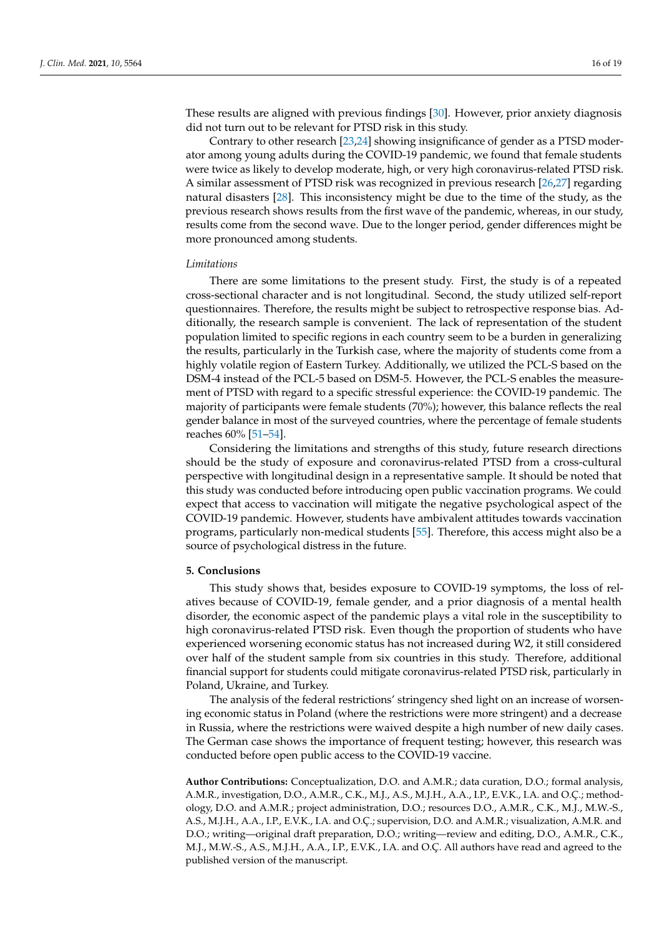These results are aligned with previous findings [\[30\]](#page-17-9). However, prior anxiety diagnosis did not turn out to be relevant for PTSD risk in this study.

Contrary to other research [\[23,](#page-17-2)[24\]](#page-17-3) showing insignificance of gender as a PTSD moderator among young adults during the COVID-19 pandemic, we found that female students were twice as likely to develop moderate, high, or very high coronavirus-related PTSD risk. A similar assessment of PTSD risk was recognized in previous research [\[26,](#page-17-5)[27\]](#page-17-6) regarding natural disasters [\[28\]](#page-17-7). This inconsistency might be due to the time of the study, as the previous research shows results from the first wave of the pandemic, whereas, in our study, results come from the second wave. Due to the longer period, gender differences might be more pronounced among students.

## *Limitations*

There are some limitations to the present study. First, the study is of a repeated cross-sectional character and is not longitudinal. Second, the study utilized self-report questionnaires. Therefore, the results might be subject to retrospective response bias. Additionally, the research sample is convenient. The lack of representation of the student population limited to specific regions in each country seem to be a burden in generalizing the results, particularly in the Turkish case, where the majority of students come from a highly volatile region of Eastern Turkey. Additionally, we utilized the PCL-S based on the DSM-4 instead of the PCL-5 based on DSM-5. However, the PCL-S enables the measurement of PTSD with regard to a specific stressful experience: the COVID-19 pandemic. The majority of participants were female students (70%); however, this balance reflects the real gender balance in most of the surveyed countries, where the percentage of female students reaches 60% [\[51–](#page-18-4)[54\]](#page-18-5).

Considering the limitations and strengths of this study, future research directions should be the study of exposure and coronavirus-related PTSD from a cross-cultural perspective with longitudinal design in a representative sample. It should be noted that this study was conducted before introducing open public vaccination programs. We could expect that access to vaccination will mitigate the negative psychological aspect of the COVID-19 pandemic. However, students have ambivalent attitudes towards vaccination programs, particularly non-medical students [\[55\]](#page-18-6). Therefore, this access might also be a source of psychological distress in the future.

## **5. Conclusions**

This study shows that, besides exposure to COVID-19 symptoms, the loss of relatives because of COVID-19, female gender, and a prior diagnosis of a mental health disorder, the economic aspect of the pandemic plays a vital role in the susceptibility to high coronavirus-related PTSD risk. Even though the proportion of students who have experienced worsening economic status has not increased during W2, it still considered over half of the student sample from six countries in this study. Therefore, additional financial support for students could mitigate coronavirus-related PTSD risk, particularly in Poland, Ukraine, and Turkey.

The analysis of the federal restrictions' stringency shed light on an increase of worsening economic status in Poland (where the restrictions were more stringent) and a decrease in Russia, where the restrictions were waived despite a high number of new daily cases. The German case shows the importance of frequent testing; however, this research was conducted before open public access to the COVID-19 vaccine.

**Author Contributions:** Conceptualization, D.O. and A.M.R.; data curation, D.O.; formal analysis, A.M.R., investigation, D.O., A.M.R., C.K., M.J., A.S., M.J.H., A.A., I.P., E.V.K., I.A. and O.Ç.; methodology, D.O. and A.M.R.; project administration, D.O.; resources D.O., A.M.R., C.K., M.J., M.W.-S., A.S., M.J.H., A.A., I.P., E.V.K., I.A. and O.Ç.; supervision, D.O. and A.M.R.; visualization, A.M.R. and D.O.; writing—original draft preparation, D.O.; writing—review and editing, D.O., A.M.R., C.K., M.J., M.W.-S., A.S., M.J.H., A.A., I.P., E.V.K., I.A. and O.Ç. All authors have read and agreed to the published version of the manuscript.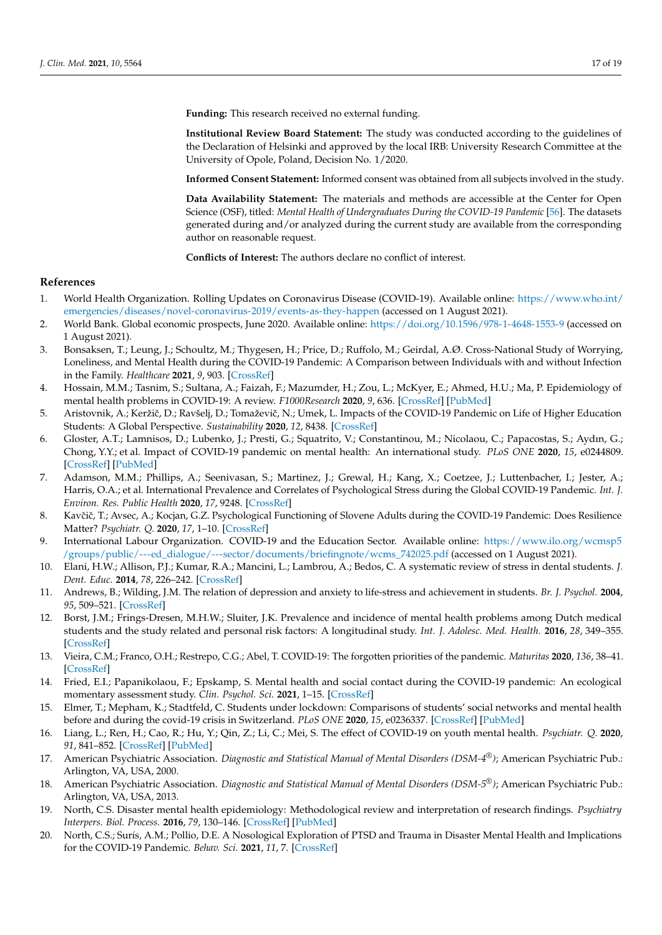**Funding:** This research received no external funding.

**Institutional Review Board Statement:** The study was conducted according to the guidelines of the Declaration of Helsinki and approved by the local IRB: University Research Committee at the University of Opole, Poland, Decision No. 1/2020.

**Informed Consent Statement:** Informed consent was obtained from all subjects involved in the study.

**Data Availability Statement:** The materials and methods are accessible at the Center for Open Science (OSF), titled: *Mental Health of Undergraduates During the COVID-19 Pandemic* [\[56\]](#page-18-7). The datasets generated during and/or analyzed during the current study are available from the corresponding author on reasonable request.

**Conflicts of Interest:** The authors declare no conflict of interest.

# **References**

- <span id="page-16-0"></span>1. World Health Organization. Rolling Updates on Coronavirus Disease (COVID-19). Available online: [https://www.who.int/](https://www.who.int/emergencies/diseases/novel-coronavirus-2019/events-as-they-happen) [emergencies/diseases/novel-coronavirus-2019/events-as-they-happen](https://www.who.int/emergencies/diseases/novel-coronavirus-2019/events-as-they-happen) (accessed on 1 August 2021).
- <span id="page-16-1"></span>2. World Bank. Global economic prospects, June 2020. Available online: <https://doi.org/10.1596/978-1-4648-1553-9> (accessed on 1 August 2021).
- <span id="page-16-2"></span>3. Bonsaksen, T.; Leung, J.; Schoultz, M.; Thygesen, H.; Price, D.; Ruffolo, M.; Geirdal, A.Ø. Cross-National Study of Worrying, Loneliness, and Mental Health during the COVID-19 Pandemic: A Comparison between Individuals with and without Infection in the Family. *Healthcare* **2021**, *9*, 903. [\[CrossRef\]](http://doi.org/10.3390/healthcare9070903)
- <span id="page-16-3"></span>4. Hossain, M.M.; Tasnim, S.; Sultana, A.; Faizah, F.; Mazumder, H.; Zou, L.; McKyer, E.; Ahmed, H.U.; Ma, P. Epidemiology of mental health problems in COVID-19: A review. *F1000Research* **2020**, *9*, 636. [\[CrossRef\]](http://doi.org/10.12688/f1000research.24457.1) [\[PubMed\]](http://www.ncbi.nlm.nih.gov/pubmed/33093946)
- <span id="page-16-4"></span>5. Aristovnik, A.; Keržič, D.; Ravšelj, D.; Tomaževič, N.; Umek, L. Impacts of the COVID-19 Pandemic on Life of Higher Education Students: A Global Perspective. *Sustainability* **2020**, *12*, 8438. [\[CrossRef\]](http://doi.org/10.3390/su12208438)
- 6. Gloster, A.T.; Lamnisos, D.; Lubenko, J.; Presti, G.; Squatrito, V.; Constantinou, M.; Nicolaou, C.; Papacostas, S.; Aydın, G.; Chong, Y.Y.; et al. Impact of COVID-19 pandemic on mental health: An international study. *PLoS ONE* **2020**, *15*, e0244809. [\[CrossRef\]](http://doi.org/10.1371/journal.pone.0244809) [\[PubMed\]](http://www.ncbi.nlm.nih.gov/pubmed/33382859)
- 7. Adamson, M.M.; Phillips, A.; Seenivasan, S.; Martinez, J.; Grewal, H.; Kang, X.; Coetzee, J.; Luttenbacher, I.; Jester, A.; Harris, O.A.; et al. International Prevalence and Correlates of Psychological Stress during the Global COVID-19 Pandemic. *Int. J. Environ. Res. Public Health* **2020**, *17*, 9248. [\[CrossRef\]](http://doi.org/10.3390/ijerph17249248)
- <span id="page-16-5"></span>8. Kavčič, T.; Avsec, A.; Kocjan, G.Z. Psychological Functioning of Slovene Adults during the COVID-19 Pandemic: Does Resilience Matter? *Psychiatr. Q.* **2020**, *17*, 1–10. [\[CrossRef\]](http://doi.org/10.1007/s11126-020-09789-4)
- <span id="page-16-6"></span>9. International Labour Organization. COVID-19 and the Education Sector. Available online: [https://www.ilo.org/wcmsp5](https://www.ilo.org/wcmsp5/groups/public/---ed_dialogue/---sector/documents/briefingnote/wcms_742025.pdf) [/groups/public/---ed\\_dialogue/---sector/documents/briefingnote/wcms\\_742025.pdf](https://www.ilo.org/wcmsp5/groups/public/---ed_dialogue/---sector/documents/briefingnote/wcms_742025.pdf) (accessed on 1 August 2021).
- <span id="page-16-7"></span>10. Elani, H.W.; Allison, P.J.; Kumar, R.A.; Mancini, L.; Lambrou, A.; Bedos, C. A systematic review of stress in dental students. *J. Dent. Educ.* **2014**, *78*, 226–242. [\[CrossRef\]](http://doi.org/10.1002/j.0022-0337.2014.78.2.tb05673.x)
- <span id="page-16-8"></span>11. Andrews, B.; Wilding, J.M. The relation of depression and anxiety to life-stress and achievement in students. *Br. J. Psychol.* **2004**, *95*, 509–521. [\[CrossRef\]](http://doi.org/10.1348/0007126042369802)
- <span id="page-16-9"></span>12. Borst, J.M.; Frings-Dresen, M.H.W.; Sluiter, J.K. Prevalence and incidence of mental health problems among Dutch medical students and the study related and personal risk factors: A longitudinal study. *Int. J. Adolesc. Med. Health.* **2016**, *28*, 349–355. [\[CrossRef\]](http://doi.org/10.1515/ijamh-2015-0021)
- <span id="page-16-10"></span>13. Vieira, C.M.; Franco, O.H.; Restrepo, C.G.; Abel, T. COVID-19: The forgotten priorities of the pandemic. *Maturitas* **2020**, *136*, 38–41. [\[CrossRef\]](http://doi.org/10.1016/j.maturitas.2020.04.004)
- <span id="page-16-11"></span>14. Fried, E.I.; Papanikolaou, F.; Epskamp, S. Mental health and social contact during the COVID-19 pandemic: An ecological momentary assessment study. *Clin. Psychol. Sci.* **2021**, 1–15. [\[CrossRef\]](http://doi.org/10.1177/21677026211017839)
- 15. Elmer, T.; Mepham, K.; Stadtfeld, C. Students under lockdown: Comparisons of students' social networks and mental health before and during the covid-19 crisis in Switzerland. *PLoS ONE* **2020**, *15*, e0236337. [\[CrossRef\]](http://doi.org/10.1371/journal.pone.0236337) [\[PubMed\]](http://www.ncbi.nlm.nih.gov/pubmed/32702065)
- <span id="page-16-12"></span>16. Liang, L.; Ren, H.; Cao, R.; Hu, Y.; Qin, Z.; Li, C.; Mei, S. The effect of COVID-19 on youth mental health. *Psychiatr. Q.* **2020**, *91*, 841–852. [\[CrossRef\]](http://doi.org/10.1007/s11126-020-09744-3) [\[PubMed\]](http://www.ncbi.nlm.nih.gov/pubmed/32319041)
- <span id="page-16-13"></span>17. American Psychiatric Association. *Diagnostic and Statistical Manual of Mental Disorders (DSM-4®)*; American Psychiatric Pub.: Arlington, VA, USA, 2000.
- <span id="page-16-14"></span>18. American Psychiatric Association. *Diagnostic and Statistical Manual of Mental Disorders (DSM-5®)*; American Psychiatric Pub.: Arlington, VA, USA, 2013.
- <span id="page-16-15"></span>19. North, C.S. Disaster mental health epidemiology: Methodological review and interpretation of research findings. *Psychiatry Interpers. Biol. Process.* **2016**, *79*, 130–146. [\[CrossRef\]](http://doi.org/10.1080/00332747.2016.1155926) [\[PubMed\]](http://www.ncbi.nlm.nih.gov/pubmed/27724836)
- <span id="page-16-16"></span>20. North, C.S.; Surís, A.M.; Pollio, D.E. A Nosological Exploration of PTSD and Trauma in Disaster Mental Health and Implications for the COVID-19 Pandemic. *Behav. Sci.* **2021**, *11*, 7. [\[CrossRef\]](http://doi.org/10.3390/bs11010007)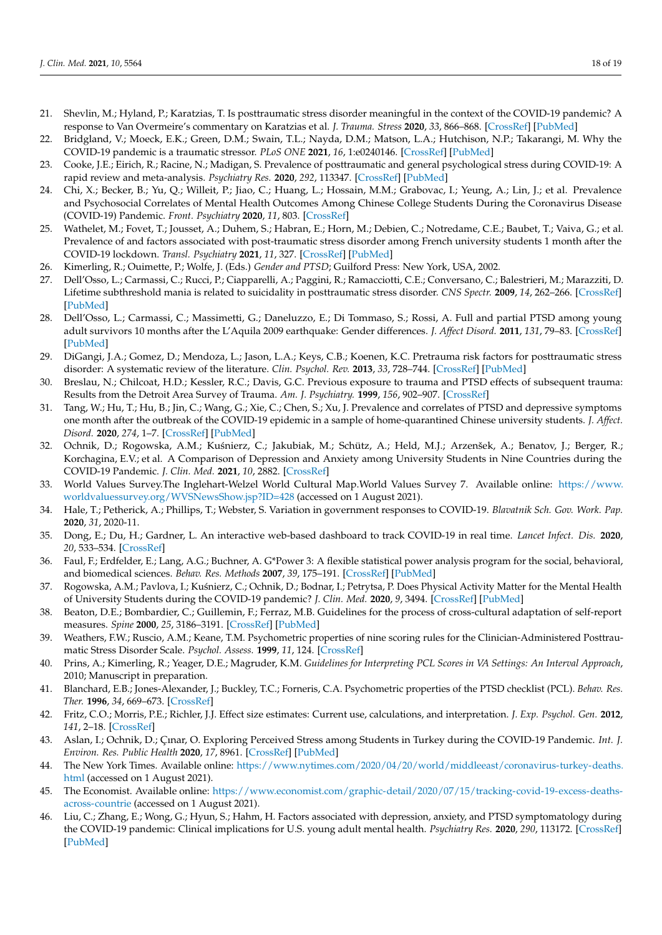- <span id="page-17-0"></span>21. Shevlin, M.; Hyland, P.; Karatzias, T. Is posttraumatic stress disorder meaningful in the context of the COVID-19 pandemic? A response to Van Overmeire's commentary on Karatzias et al. *J. Trauma. Stress* **2020**, *33*, 866–868. [\[CrossRef\]](http://doi.org/10.1002/jts.22592) [\[PubMed\]](http://www.ncbi.nlm.nih.gov/pubmed/33007141)
- <span id="page-17-1"></span>22. Bridgland, V.; Moeck, E.K.; Green, D.M.; Swain, T.L.; Nayda, D.M.; Matson, L.A.; Hutchison, N.P.; Takarangi, M. Why the COVID-19 pandemic is a traumatic stressor. *PLoS ONE* **2021**, *16*, 1:e0240146. [\[CrossRef\]](http://doi.org/10.1371/journal.pone.0240146) [\[PubMed\]](http://www.ncbi.nlm.nih.gov/pubmed/33428630)
- <span id="page-17-2"></span>23. Cooke, J.E.; Eirich, R.; Racine, N.; Madigan, S. Prevalence of posttraumatic and general psychological stress during COVID-19: A rapid review and meta-analysis. *Psychiatry Res.* **2020**, *292*, 113347. [\[CrossRef\]](http://doi.org/10.1016/j.psychres.2020.113347) [\[PubMed\]](http://www.ncbi.nlm.nih.gov/pubmed/32763477)
- <span id="page-17-3"></span>24. Chi, X.; Becker, B.; Yu, Q.; Willeit, P.; Jiao, C.; Huang, L.; Hossain, M.M.; Grabovac, I.; Yeung, A.; Lin, J.; et al. Prevalence and Psychosocial Correlates of Mental Health Outcomes Among Chinese College Students During the Coronavirus Disease (COVID-19) Pandemic. *Front. Psychiatry* **2020**, *11*, 803. [\[CrossRef\]](http://doi.org/10.3389/fpsyt.2020.00803)
- <span id="page-17-4"></span>25. Wathelet, M.; Fovet, T.; Jousset, A.; Duhem, S.; Habran, E.; Horn, M.; Debien, C.; Notredame, C.E.; Baubet, T.; Vaiva, G.; et al. Prevalence of and factors associated with post-traumatic stress disorder among French university students 1 month after the COVID-19 lockdown. *Transl. Psychiatry* **2021**, *11*, 327. [\[CrossRef\]](http://doi.org/10.1038/s41398-021-01438-z) [\[PubMed\]](http://www.ncbi.nlm.nih.gov/pubmed/34045442)
- <span id="page-17-5"></span>26. Kimerling, R.; Ouimette, P.; Wolfe, J. (Eds.) *Gender and PTSD*; Guilford Press: New York, USA, 2002.
- <span id="page-17-6"></span>27. Dell'Osso, L.; Carmassi, C.; Rucci, P.; Ciapparelli, A.; Paggini, R.; Ramacciotti, C.E.; Conversano, C.; Balestrieri, M.; Marazziti, D. Lifetime subthreshold mania is related to suicidality in posttraumatic stress disorder. *CNS Spectr.* **2009**, *14*, 262–266. [\[CrossRef\]](http://doi.org/10.1017/S1092852900025426) [\[PubMed\]](http://www.ncbi.nlm.nih.gov/pubmed/19407725)
- <span id="page-17-7"></span>28. Dell'Osso, L.; Carmassi, C.; Massimetti, G.; Daneluzzo, E.; Di Tommaso, S.; Rossi, A. Full and partial PTSD among young adult survivors 10 months after the L'Aquila 2009 earthquake: Gender differences. *J. Affect Disord.* **2011**, *131*, 79–83. [\[CrossRef\]](http://doi.org/10.1016/j.jad.2010.11.023) [\[PubMed\]](http://www.ncbi.nlm.nih.gov/pubmed/21272938)
- <span id="page-17-8"></span>29. DiGangi, J.A.; Gomez, D.; Mendoza, L.; Jason, L.A.; Keys, C.B.; Koenen, K.C. Pretrauma risk factors for posttraumatic stress disorder: A systematic review of the literature. *Clin. Psychol. Rev.* **2013**, *33*, 728–744. [\[CrossRef\]](http://doi.org/10.1016/j.cpr.2013.05.002) [\[PubMed\]](http://www.ncbi.nlm.nih.gov/pubmed/23792469)
- <span id="page-17-9"></span>30. Breslau, N.; Chilcoat, H.D.; Kessler, R.C.; Davis, G.C. Previous exposure to trauma and PTSD effects of subsequent trauma: Results from the Detroit Area Survey of Trauma. *Am. J. Psychiatry.* **1999**, *156*, 902–907. [\[CrossRef\]](http://doi.org/10.1176/ajp.156.6.902)
- <span id="page-17-10"></span>31. Tang, W.; Hu, T.; Hu, B.; Jin, C.; Wang, G.; Xie, C.; Chen, S.; Xu, J. Prevalence and correlates of PTSD and depressive symptoms one month after the outbreak of the COVID-19 epidemic in a sample of home-quarantined Chinese university students. *J. Affect. Disord.* **2020**, *274*, 1–7. [\[CrossRef\]](http://doi.org/10.1016/j.jad.2020.05.009) [\[PubMed\]](http://www.ncbi.nlm.nih.gov/pubmed/32405111)
- <span id="page-17-11"></span>32. Ochnik, D.; Rogowska, A.M.; Kuśnierz, C.; Jakubiak, M.; Schütz, A.; Held, M.J.; Arzenšek, A.; Benatov, J.; Berger, R.; Korchagina, E.V.; et al. A Comparison of Depression and Anxiety among University Students in Nine Countries during the COVID-19 Pandemic. *J. Clin. Med.* **2021**, *10*, 2882. [\[CrossRef\]](http://doi.org/10.3390/jcm10132882)
- <span id="page-17-12"></span>33. World Values Survey.The Inglehart-Welzel World Cultural Map.World Values Survey 7. Available online: [https://www.](https://www.worldvaluessurvey.org/WVSNewsShow.jsp?ID=428) [worldvaluessurvey.org/WVSNewsShow.jsp?ID=428](https://www.worldvaluessurvey.org/WVSNewsShow.jsp?ID=428) (accessed on 1 August 2021).
- <span id="page-17-13"></span>34. Hale, T.; Petherick, A.; Phillips, T.; Webster, S. Variation in government responses to COVID-19. *Blavatnik Sch. Gov. Work. Pap.* **2020**, *31*, 2020-11.
- <span id="page-17-14"></span>35. Dong, E.; Du, H.; Gardner, L. An interactive web-based dashboard to track COVID-19 in real time. *Lancet Infect. Dis.* **2020**, *20*, 533–534. [\[CrossRef\]](http://doi.org/10.1016/S1473-3099(20)30120-1)
- <span id="page-17-15"></span>36. Faul, F.; Erdfelder, E.; Lang, A.G.; Buchner, A. G\*Power 3: A flexible statistical power analysis program for the social, behavioral, and biomedical sciences. *Behav. Res. Methods* **2007**, *39*, 175–191. [\[CrossRef\]](http://doi.org/10.3758/BF03193146) [\[PubMed\]](http://www.ncbi.nlm.nih.gov/pubmed/17695343)
- <span id="page-17-16"></span>37. Rogowska, A.M.; Pavlova, I.; Kuśnierz, C.; Ochnik, D.; Bodnar, I.; Petrytsa, P. Does Physical Activity Matter for the Mental Health of University Students during the COVID-19 pandemic? *J. Clin. Med.* **2020**, *9*, 3494. [\[CrossRef\]](http://doi.org/10.3390/jcm9113494) [\[PubMed\]](http://www.ncbi.nlm.nih.gov/pubmed/33138047)
- <span id="page-17-17"></span>38. Beaton, D.E.; Bombardier, C.; Guillemin, F.; Ferraz, M.B. Guidelines for the process of cross-cultural adaptation of self-report measures. *Spine* **2000**, *25*, 3186–3191. [\[CrossRef\]](http://doi.org/10.1097/00007632-200012150-00014) [\[PubMed\]](http://www.ncbi.nlm.nih.gov/pubmed/11124735)
- <span id="page-17-18"></span>39. Weathers, F.W.; Ruscio, A.M.; Keane, T.M. Psychometric properties of nine scoring rules for the Clinician-Administered Posttraumatic Stress Disorder Scale. *Psychol. Assess.* **1999**, *11*, 124. [\[CrossRef\]](http://doi.org/10.1037/1040-3590.11.2.124)
- <span id="page-17-19"></span>40. Prins, A.; Kimerling, R.; Yeager, D.E.; Magruder, K.M. *Guidelines for Interpreting PCL Scores in VA Settings: An Interval Approach*, 2010; Manuscript in preparation.
- <span id="page-17-20"></span>41. Blanchard, E.B.; Jones-Alexander, J.; Buckley, T.C.; Forneris, C.A. Psychometric properties of the PTSD checklist (PCL). *Behav. Res. Ther.* **1996**, *34*, 669–673. [\[CrossRef\]](http://doi.org/10.1016/0005-7967(96)00033-2)
- <span id="page-17-21"></span>42. Fritz, C.O.; Morris, P.E.; Richler, J.J. Effect size estimates: Current use, calculations, and interpretation. *J. Exp. Psychol. Gen.* **2012**, *141*, 2–18. [\[CrossRef\]](http://doi.org/10.1037/a0024338)
- <span id="page-17-22"></span>43. Aslan, I.; Ochnik, D.; Çınar, O. Exploring Perceived Stress among Students in Turkey during the COVID-19 Pandemic. *Int. J. Environ. Res. Public Health* **2020**, *17*, 8961. [\[CrossRef\]](http://doi.org/10.3390/ijerph17238961) [\[PubMed\]](http://www.ncbi.nlm.nih.gov/pubmed/33276520)
- <span id="page-17-23"></span>44. The New York Times. Available online: [https://www.nytimes.com/2020/04/20/world/middleeast/coronavirus-turkey-deaths.](https://www.nytimes.com/2020/04/20/world/middleeast/coronavirus-turkey-deaths.html) [html](https://www.nytimes.com/2020/04/20/world/middleeast/coronavirus-turkey-deaths.html) (accessed on 1 August 2021).
- <span id="page-17-24"></span>45. The Economist. Available online: [https://www.economist.com/graphic-detail/2020/07/15/tracking-covid-19-excess-deaths](https://www.economist.com/graphic-detail/2020/07/15/tracking-covid-19-excess-deaths-across-countrie)[across-countrie](https://www.economist.com/graphic-detail/2020/07/15/tracking-covid-19-excess-deaths-across-countrie) (accessed on 1 August 2021).
- <span id="page-17-25"></span>46. Liu, C.; Zhang, E.; Wong, G.; Hyun, S.; Hahm, H. Factors associated with depression, anxiety, and PTSD symptomatology during the COVID-19 pandemic: Clinical implications for U.S. young adult mental health. *Psychiatry Res.* **2020**, *290*, 113172. [\[CrossRef\]](http://doi.org/10.1016/j.psychres.2020.113172) [\[PubMed\]](http://www.ncbi.nlm.nih.gov/pubmed/32512357)